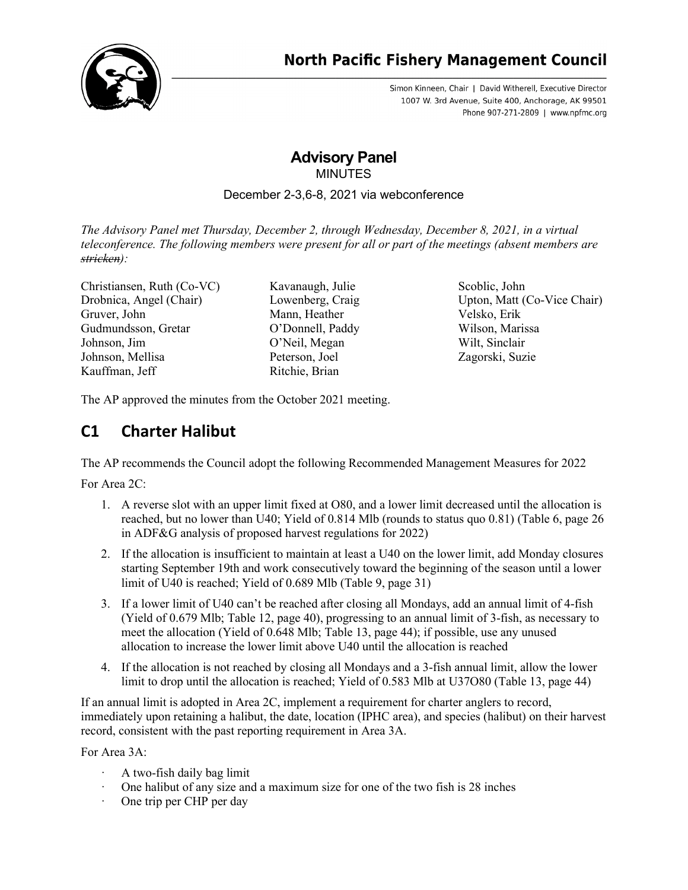

Simon Kinneen, Chair | David Witherell, Executive Director 1007 W. 3rd Avenue, Suite 400, Anchorage, AK 99501 Phone 907-271-2809 | www.npfmc.org

# **Advisory Panel** MINUTES

# December 2-3,6-8, 2021 via webconference

*The Advisory Panel met Thursday, December 2, through Wednesday, December 8, 2021, in a virtual teleconference. The following members were present for all or part of the meetings (absent members are stricken):*

Christiansen, Ruth (Co-VC) Drobnica, Angel (Chair) Gruver, John Gudmundsson, Gretar Johnson, Jim Johnson, Mellisa Kauffman, Jeff

Kavanaugh, Julie Lowenberg, Craig Mann, Heather O'Donnell, Paddy O'Neil, Megan Peterson, Joel Ritchie, Brian

Scoblic, John Upton, Matt (Co-Vice Chair) Velsko, Erik Wilson, Marissa Wilt, Sinclair Zagorski, Suzie

The AP approved the minutes from the October 2021 meeting.

# **C1 Charter Halibut**

The AP recommends the Council adopt the following Recommended Management Measures for 2022

For Area 2C:

- 1. A reverse slot with an upper limit fixed at O80, and a lower limit decreased until the allocation is reached, but no lower than U40; Yield of 0.814 Mlb (rounds to status quo 0.81) (Table 6, page 26 in ADF&G analysis of proposed harvest regulations for 2022)
- 2. If the allocation is insufficient to maintain at least a U40 on the lower limit, add Monday closures starting September 19th and work consecutively toward the beginning of the season until a lower limit of U40 is reached; Yield of 0.689 Mlb (Table 9, page 31)
- 3. If a lower limit of U40 can't be reached after closing all Mondays, add an annual limit of 4-fish (Yield of 0.679 Mlb; Table 12, page 40), progressing to an annual limit of 3-fish, as necessary to meet the allocation (Yield of 0.648 Mlb; Table 13, page 44); if possible, use any unused allocation to increase the lower limit above U40 until the allocation is reached
- 4. If the allocation is not reached by closing all Mondays and a 3-fish annual limit, allow the lower limit to drop until the allocation is reached; Yield of 0.583 Mlb at U37O80 (Table 13, page 44)

If an annual limit is adopted in Area 2C, implement a requirement for charter anglers to record, immediately upon retaining a halibut, the date, location (IPHC area), and species (halibut) on their harvest record, consistent with the past reporting requirement in Area 3A.

For Area 3A:

- A two-fish daily bag limit
- One halibut of any size and a maximum size for one of the two fish is 28 inches
- One trip per CHP per day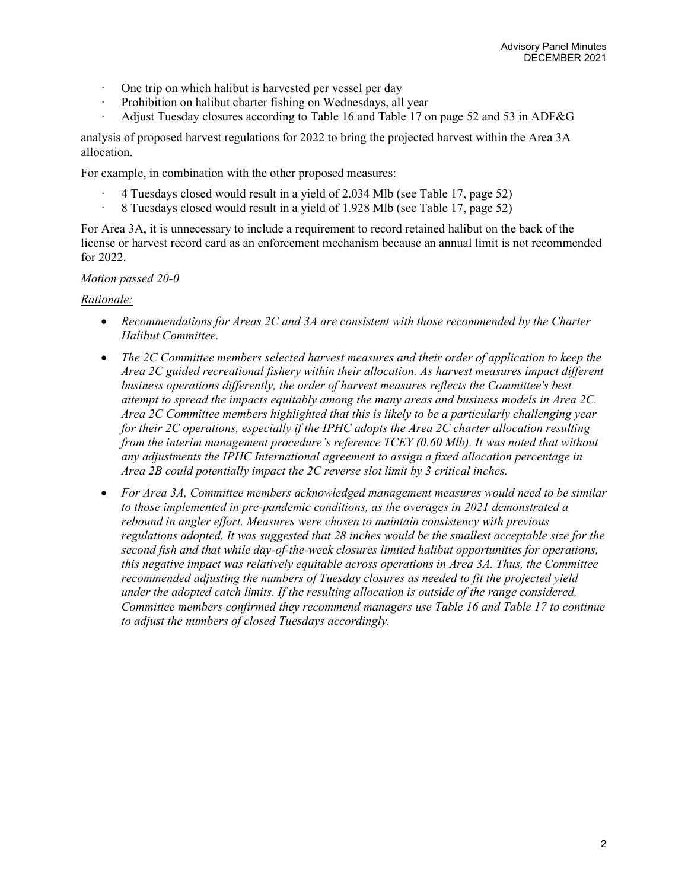- One trip on which halibut is harvested per vessel per day
- · Prohibition on halibut charter fishing on Wednesdays, all year
- · Adjust Tuesday closures according to Table 16 and Table 17 on page 52 and 53 in ADF&G

analysis of proposed harvest regulations for 2022 to bring the projected harvest within the Area 3A allocation.

For example, in combination with the other proposed measures:

- · 4 Tuesdays closed would result in a yield of 2.034 Mlb (see Table 17, page 52)
- · 8 Tuesdays closed would result in a yield of 1.928 Mlb (see Table 17, page 52)

For Area 3A, it is unnecessary to include a requirement to record retained halibut on the back of the license or harvest record card as an enforcement mechanism because an annual limit is not recommended for 2022.

#### *Motion passed 20-0*

### *Rationale:*

- *Recommendations for Areas 2C and 3A are consistent with those recommended by the Charter Halibut Committee.*
- *The 2C Committee members selected harvest measures and their order of application to keep the Area 2C guided recreational fishery within their allocation. As harvest measures impact different business operations differently, the order of harvest measures reflects the Committee's best attempt to spread the impacts equitably among the many areas and business models in Area 2C. Area 2C Committee members highlighted that this is likely to be a particularly challenging year for their 2C operations, especially if the IPHC adopts the Area 2C charter allocation resulting from the interim management procedure's reference TCEY (0.60 Mlb). It was noted that without any adjustments the IPHC International agreement to assign a fixed allocation percentage in Area 2B could potentially impact the 2C reverse slot limit by 3 critical inches.*
- *For Area 3A, Committee members acknowledged management measures would need to be similar to those implemented in pre-pandemic conditions, as the overages in 2021 demonstrated a rebound in angler effort. Measures were chosen to maintain consistency with previous regulations adopted. It was suggested that 28 inches would be the smallest acceptable size for the second fish and that while day-of-the-week closures limited halibut opportunities for operations, this negative impact was relatively equitable across operations in Area 3A. Thus, the Committee recommended adjusting the numbers of Tuesday closures as needed to fit the projected yield under the adopted catch limits. If the resulting allocation is outside of the range considered, Committee members confirmed they recommend managers use Table 16 and Table 17 to continue to adjust the numbers of closed Tuesdays accordingly.*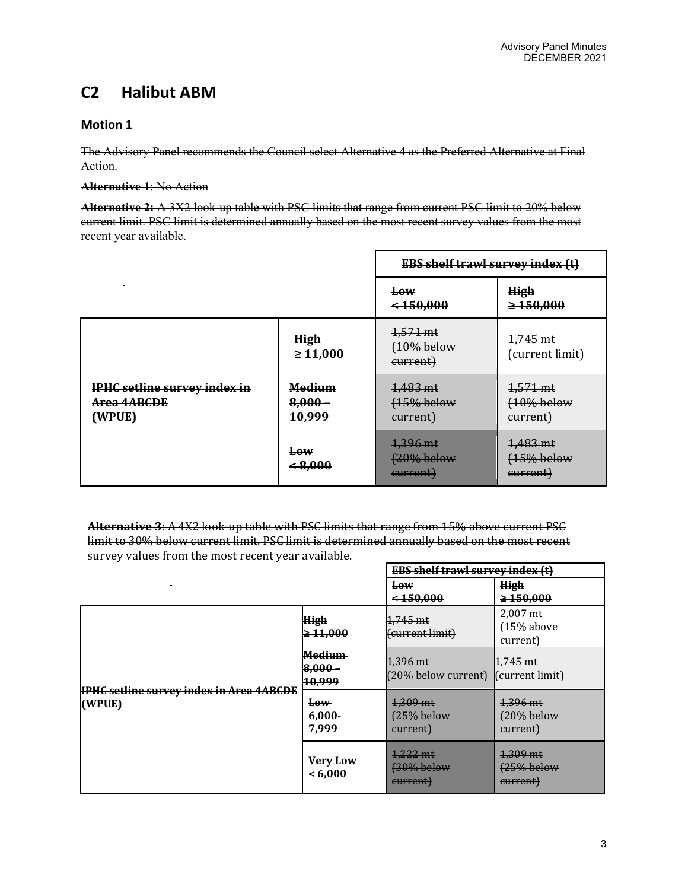# **C2 Halibut ABM**

# **Motion 1**

The Advisory Panel recommends the Council select Alternative 4 as the Preferred Alternative at Final Action.

**Alternative 1**: No Action

**Alternative 2:** A 3X2 look-up table with PSC limits that range from current PSC limit to 20% below current limit. PSC limit is determined annually based on the most recent survey values from the most recent year available.

|                                                              |                                      | <b>EBS shelf trawl survey index (t)</b>      |                                      |
|--------------------------------------------------------------|--------------------------------------|----------------------------------------------|--------------------------------------|
|                                                              |                                      | <b>Low</b><br>$<$ 450,000                    | <b>High</b><br>$\geq 150,000$        |
|                                                              | <b>High</b><br>$\geq 11,000$         | $4,571 \text{ mt}$<br>(10% below<br>current) | 1,745 mt<br>(current limit)          |
| IPHC setline survey index in<br><b>Area 4ABCDE</b><br>(WPUE) | <b>Medium</b><br>$8,000 -$<br>10,999 | 1,483 mt<br>(15% below<br>current)           | 1,571 mt<br>$(10%$ below<br>current) |
|                                                              | <b>Low</b><br>$\leq 8,000$           | 1,396 mt<br>(20% below<br>current)           | 1,483 mt<br>$(15%$ below<br>current) |

**Alternative 3**: A 4X2 look-up table with PSC limits that range from 15% above current PSC limit to 30% below current limit. PSC limit is determined annually based on the most recent survey values from the most recent year available.

|                                                           |                                 | <b>EBS shelf trawl survey index (t)</b> |                                        |  |
|-----------------------------------------------------------|---------------------------------|-----------------------------------------|----------------------------------------|--|
|                                                           |                                 | Low<br>$<$ 450,000                      | <b>High</b><br>$\geq 150,000$          |  |
| <b>IPHC setline survey index in Area 4ABCDE</b><br>(WPUE) | <b>High</b><br>≥ 11,000         | 1,745 mt<br>(current limit)             | $2,007$ mt<br>$(15%$ above<br>current) |  |
|                                                           | Medium-<br>$8,000 -$<br>10,999  | 1,396 mt<br>(20% below current)         | $1.745$ mt<br>(current limit)          |  |
|                                                           | <b>Low</b><br>$6,000-$<br>7,999 | 1,309 mt<br>(25% below<br>current)      | 1,396 mt<br>(20% below<br>current)     |  |
|                                                           | Very Low<br>$\leq 6.000$        | 1,222 mt<br>$(30\%$ below<br>current)   | 1,309 mt<br>(25% below<br>current)     |  |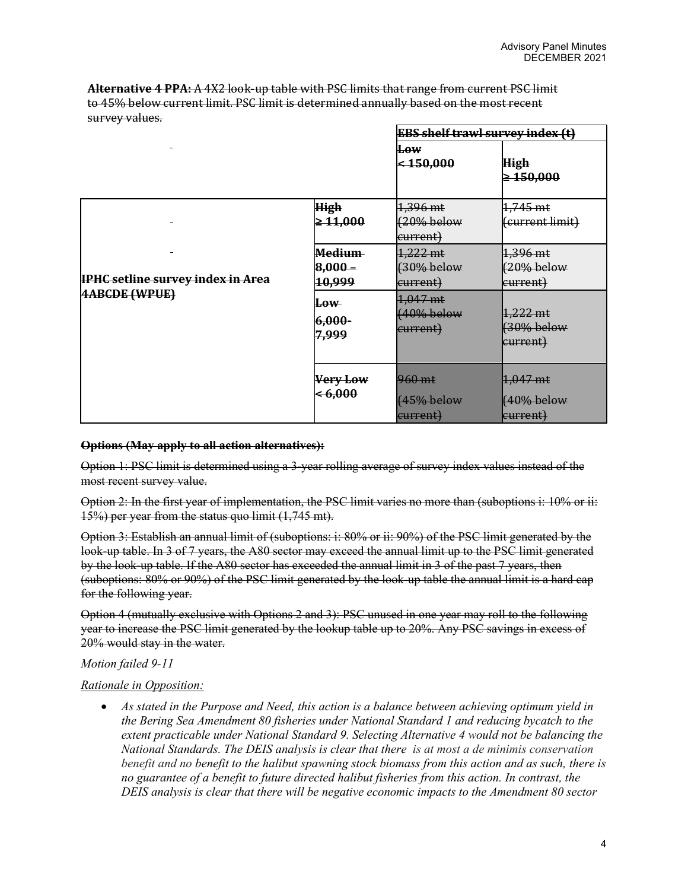**Alternative 4 PPA:** A 4X2 look-up table with PSC limits that range from current PSC limit to 45% below current limit. PSC limit is determined annually based on the most recent survey values.

|                                                                  |                                      | <b>EBS shelf trawl survey index (t)</b> |                                      |
|------------------------------------------------------------------|--------------------------------------|-----------------------------------------|--------------------------------------|
|                                                                  |                                      | <b>Low</b><br>$ $ < 150,000             | <b>High</b><br>$\geq 150,000$        |
|                                                                  | <b>High</b><br>$\geq 11,000$         | $1,396$ mt<br>$(20\%$ below<br>current) | 1,745 mt<br>(current limit)          |
| <b>IPHC setline survey index in Area</b><br><b>4ABCDE (WPUE)</b> | <b>Medium</b><br>$8,000 -$<br>10,999 | $1,222$ mt<br>(30% below<br>current)    | 1,396 mt<br>$(20%$ below<br>eurrent) |
|                                                                  | ⊞ow<br>6,000-<br>7,999               | 1,047 mt<br>$(40%$ below<br>current)    | 1,222 mt<br>$(30%$ below<br>current) |
|                                                                  | Very Low<br>< 6,000                  | 960 mt<br>$(45%$ below<br>current)      | 1,047 mt<br>(40% below<br>eurrent)   |

### **Options (May apply to all action alternatives):**

Option 1: PSC limit is determined using a 3-year rolling average of survey index values instead of the most recent survey value.

Option 2: In the first year of implementation, the PSC limit varies no more than (suboptions i: 10% or ii: 15%) per year from the status quo limit (1,745 mt).

Option 3: Establish an annual limit of (suboptions: i: 80% or ii: 90%) of the PSC limit generated by the look-up table. In 3 of 7 years, the A80 sector may exceed the annual limit up to the PSC limit generated by the look-up table. If the A80 sector has exceeded the annual limit in 3 of the past 7 years, then (suboptions: 80% or 90%) of the PSC limit generated by the look-up table the annual limit is a hard cap for the following year.

Option 4 (mutually exclusive with Options 2 and 3): PSC unused in one year may roll to the following year to increase the PSC limit generated by the lookup table up to 20%. Any PSC savings in excess of 20% would stay in the water.

# *Motion failed 9-11*

### *Rationale in Opposition:*

• *As stated in the Purpose and Need, this action is a balance between achieving optimum yield in the Bering Sea Amendment 80 fisheries under National Standard 1 and reducing bycatch to the extent practicable under National Standard 9. Selecting Alternative 4 would not be balancing the National Standards. The DEIS analysis is clear that there is at most a de minimis conservation benefit and no benefit to the halibut spawning stock biomass from this action and as such, there is no guarantee of a benefit to future directed halibut fisheries from this action. In contrast, the DEIS analysis is clear that there will be negative economic impacts to the Amendment 80 sector*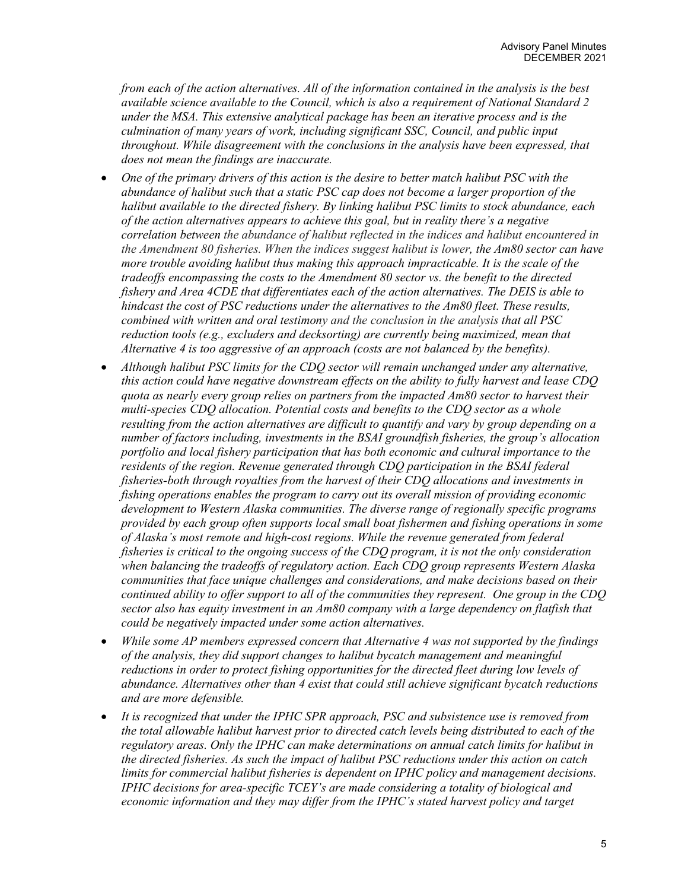*from each of the action alternatives. All of the information contained in the analysis is the best available science available to the Council, which is also a requirement of National Standard 2 under the MSA. This extensive analytical package has been an iterative process and is the culmination of many years of work, including significant SSC, Council, and public input throughout. While disagreement with the conclusions in the analysis have been expressed, that does not mean the findings are inaccurate.*

- *One of the primary drivers of this action is the desire to better match halibut PSC with the abundance of halibut such that a static PSC cap does not become a larger proportion of the halibut available to the directed fishery. By linking halibut PSC limits to stock abundance, each of the action alternatives appears to achieve this goal, but in reality there's a negative correlation between the abundance of halibut reflected in the indices and halibut encountered in the Amendment 80 fisheries. When the indices suggest halibut is lower, the Am80 sector can have more trouble avoiding halibut thus making this approach impracticable. It is the scale of the tradeoffs encompassing the costs to the Amendment 80 sector vs. the benefit to the directed fishery and Area 4CDE that differentiates each of the action alternatives. The DEIS is able to hindcast the cost of PSC reductions under the alternatives to the Am80 fleet. These results, combined with written and oral testimony and the conclusion in the analysis that all PSC reduction tools (e.g., excluders and decksorting) are currently being maximized, mean that Alternative 4 is too aggressive of an approach (costs are not balanced by the benefits).*
- *Although halibut PSC limits for the CDQ sector will remain unchanged under any alternative, this action could have negative downstream effects on the ability to fully harvest and lease CDQ quota as nearly every group relies on partners from the impacted Am80 sector to harvest their multi-species CDQ allocation. Potential costs and benefits to the CDQ sector as a whole resulting from the action alternatives are difficult to quantify and vary by group depending on a number of factors including, investments in the BSAI groundfish fisheries, the group's allocation portfolio and local fishery participation that has both economic and cultural importance to the residents of the region. Revenue generated through CDQ participation in the BSAI federal fisheries-both through royalties from the harvest of their CDQ allocations and investments in fishing operations enables the program to carry out its overall mission of providing economic development to Western Alaska communities. The diverse range of regionally specific programs provided by each group often supports local small boat fishermen and fishing operations in some of Alaska's most remote and high-cost regions. While the revenue generated from federal fisheries is critical to the ongoing success of the CDQ program, it is not the only consideration when balancing the tradeoffs of regulatory action. Each CDQ group represents Western Alaska communities that face unique challenges and considerations, and make decisions based on their continued ability to offer support to all of the communities they represent. One group in the CDQ sector also has equity investment in an Am80 company with a large dependency on flatfish that could be negatively impacted under some action alternatives.*
- *While some AP members expressed concern that Alternative 4 was not supported by the findings of the analysis, they did support changes to halibut bycatch management and meaningful reductions in order to protect fishing opportunities for the directed fleet during low levels of abundance. Alternatives other than 4 exist that could still achieve significant bycatch reductions and are more defensible.*
- *It is recognized that under the IPHC SPR approach, PSC and subsistence use is removed from the total allowable halibut harvest prior to directed catch levels being distributed to each of the regulatory areas. Only the IPHC can make determinations on annual catch limits for halibut in the directed fisheries. As such the impact of halibut PSC reductions under this action on catch limits for commercial halibut fisheries is dependent on IPHC policy and management decisions. IPHC decisions for area-specific TCEY's are made considering a totality of biological and economic information and they may differ from the IPHC's stated harvest policy and target*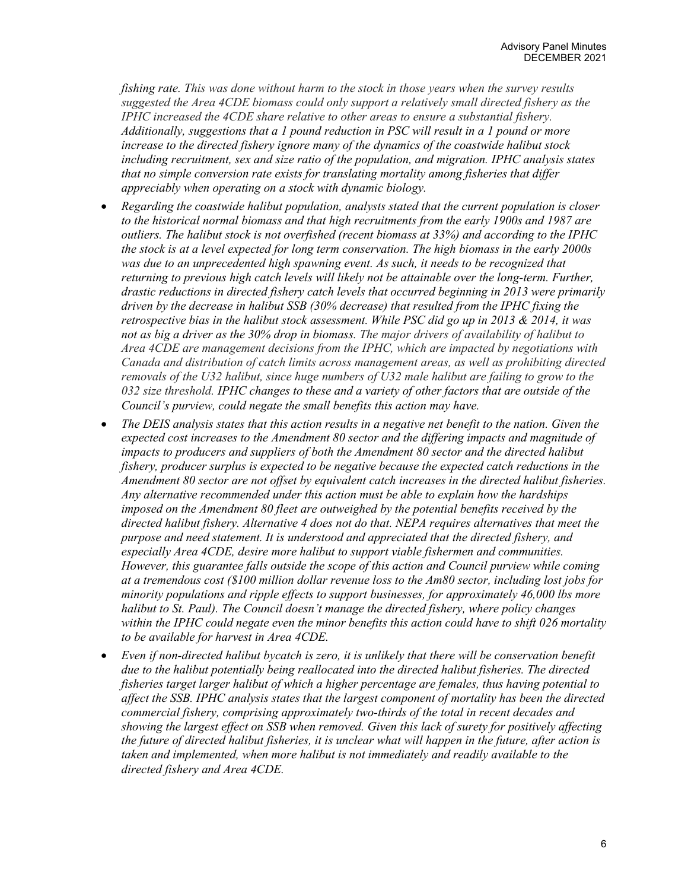*fishing rate. This was done without harm to the stock in those years when the survey results suggested the Area 4CDE biomass could only support a relatively small directed fishery as the IPHC increased the 4CDE share relative to other areas to ensure a substantial fishery. Additionally, suggestions that a 1 pound reduction in PSC will result in a 1 pound or more increase to the directed fishery ignore many of the dynamics of the coastwide halibut stock including recruitment, sex and size ratio of the population, and migration. IPHC analysis states that no simple conversion rate exists for translating mortality among fisheries that differ appreciably when operating on a stock with dynamic biology.*

- *Regarding the coastwide halibut population, analysts stated that the current population is closer to the historical normal biomass and that high recruitments from the early 1900s and 1987 are outliers. The halibut stock is not overfished (recent biomass at 33%) and according to the IPHC the stock is at a level expected for long term conservation. The high biomass in the early 2000s*  was due to an unprecedented high spawning event. As such, it needs to be recognized that *returning to previous high catch levels will likely not be attainable over the long-term. Further, drastic reductions in directed fishery catch levels that occurred beginning in 2013 were primarily driven by the decrease in halibut SSB (30% decrease) that resulted from the IPHC fixing the retrospective bias in the halibut stock assessment. While PSC did go up in 2013 & 2014, it was not as big a driver as the 30% drop in biomass. The major drivers of availability of halibut to Area 4CDE are management decisions from the IPHC, which are impacted by negotiations with Canada and distribution of catch limits across management areas, as well as prohibiting directed removals of the U32 halibut, since huge numbers of U32 male halibut are failing to grow to the 032 size threshold. IPHC changes to these and a variety of other factors that are outside of the Council's purview, could negate the small benefits this action may have.*
- *The DEIS analysis states that this action results in a negative net benefit to the nation. Given the expected cost increases to the Amendment 80 sector and the differing impacts and magnitude of impacts to producers and suppliers of both the Amendment 80 sector and the directed halibut fishery, producer surplus is expected to be negative because the expected catch reductions in the Amendment 80 sector are not offset by equivalent catch increases in the directed halibut fisheries. Any alternative recommended under this action must be able to explain how the hardships imposed on the Amendment 80 fleet are outweighed by the potential benefits received by the directed halibut fishery. Alternative 4 does not do that. NEPA requires alternatives that meet the purpose and need statement. It is understood and appreciated that the directed fishery, and especially Area 4CDE, desire more halibut to support viable fishermen and communities. However, this guarantee falls outside the scope of this action and Council purview while coming at a tremendous cost (\$100 million dollar revenue loss to the Am80 sector, including lost jobs for minority populations and ripple effects to support businesses, for approximately 46,000 lbs more halibut to St. Paul). The Council doesn't manage the directed fishery, where policy changes within the IPHC could negate even the minor benefits this action could have to shift 026 mortality to be available for harvest in Area 4CDE.*
- *Even if non-directed halibut bycatch is zero, it is unlikely that there will be conservation benefit due to the halibut potentially being reallocated into the directed halibut fisheries. The directed fisheries target larger halibut of which a higher percentage are females, thus having potential to affect the SSB. IPHC analysis states that the largest component of mortality has been the directed commercial fishery, comprising approximately two-thirds of the total in recent decades and showing the largest effect on SSB when removed. Given this lack of surety for positively affecting the future of directed halibut fisheries, it is unclear what will happen in the future, after action is taken and implemented, when more halibut is not immediately and readily available to the directed fishery and Area 4CDE.*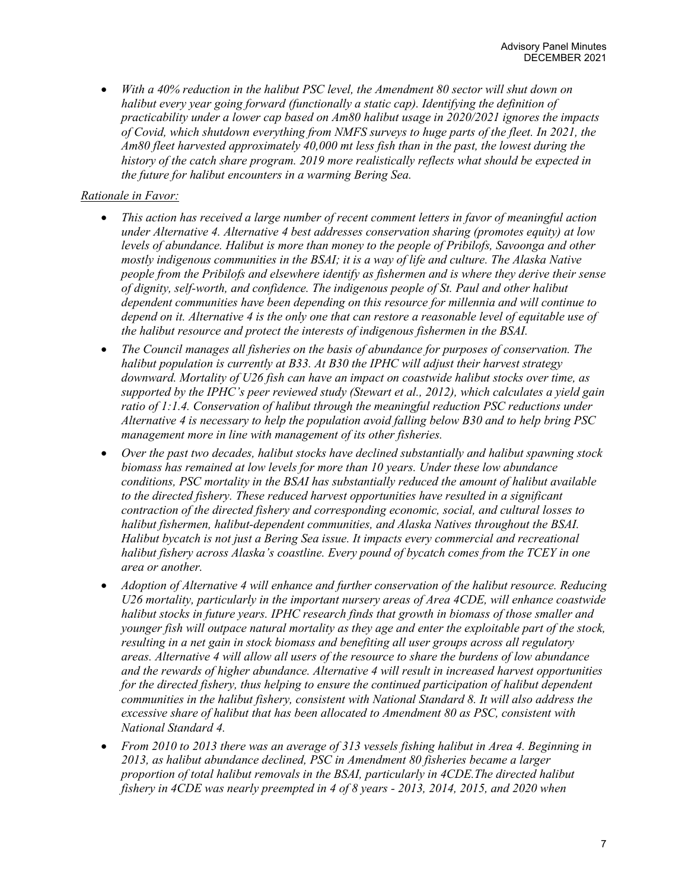• *With a 40% reduction in the halibut PSC level, the Amendment 80 sector will shut down on halibut every year going forward (functionally a static cap). Identifying the definition of practicability under a lower cap based on Am80 halibut usage in 2020/2021 ignores the impacts of Covid, which shutdown everything from NMFS surveys to huge parts of the fleet. In 2021, the Am80 fleet harvested approximately 40,000 mt less fish than in the past, the lowest during the history of the catch share program. 2019 more realistically reflects what should be expected in the future for halibut encounters in a warming Bering Sea.*

# *Rationale in Favor:*

- *This action has received a large number of recent comment letters in favor of meaningful action under Alternative 4. Alternative 4 best addresses conservation sharing (promotes equity) at low levels of abundance. Halibut is more than money to the people of Pribilofs, Savoonga and other mostly indigenous communities in the BSAI; it is a way of life and culture. The Alaska Native people from the Pribilofs and elsewhere identify as fishermen and is where they derive their sense of dignity, self-worth, and confidence. The indigenous people of St. Paul and other halibut dependent communities have been depending on this resource for millennia and will continue to depend on it. Alternative 4 is the only one that can restore a reasonable level of equitable use of the halibut resource and protect the interests of indigenous fishermen in the BSAI.*
- *The Council manages all fisheries on the basis of abundance for purposes of conservation. The halibut population is currently at B33. At B30 the IPHC will adjust their harvest strategy downward. Mortality of U26 fish can have an impact on coastwide halibut stocks over time, as supported by the IPHC's peer reviewed study (Stewart et al., 2012), which calculates a yield gain ratio of 1:1.4. Conservation of halibut through the meaningful reduction PSC reductions under Alternative 4 is necessary to help the population avoid falling below B30 and to help bring PSC management more in line with management of its other fisheries.*
- *Over the past two decades, halibut stocks have declined substantially and halibut spawning stock biomass has remained at low levels for more than 10 years. Under these low abundance conditions, PSC mortality in the BSAI has substantially reduced the amount of halibut available to the directed fishery. These reduced harvest opportunities have resulted in a significant contraction of the directed fishery and corresponding economic, social, and cultural losses to halibut fishermen, halibut-dependent communities, and Alaska Natives throughout the BSAI. Halibut bycatch is not just a Bering Sea issue. It impacts every commercial and recreational halibut fishery across Alaska's coastline. Every pound of bycatch comes from the TCEY in one area or another.*
- *Adoption of Alternative 4 will enhance and further conservation of the halibut resource. Reducing U26 mortality, particularly in the important nursery areas of Area 4CDE, will enhance coastwide halibut stocks in future years. IPHC research finds that growth in biomass of those smaller and younger fish will outpace natural mortality as they age and enter the exploitable part of the stock, resulting in a net gain in stock biomass and benefiting all user groups across all regulatory areas. Alternative 4 will allow all users of the resource to share the burdens of low abundance and the rewards of higher abundance. Alternative 4 will result in increased harvest opportunities for the directed fishery, thus helping to ensure the continued participation of halibut dependent communities in the halibut fishery, consistent with National Standard 8. It will also address the excessive share of halibut that has been allocated to Amendment 80 as PSC, consistent with National Standard 4.*
- *From 2010 to 2013 there was an average of 313 vessels fishing halibut in Area 4. Beginning in 2013, as halibut abundance declined, PSC in Amendment 80 fisheries became a larger proportion of total halibut removals in the BSAI, particularly in 4CDE.The directed halibut fishery in 4CDE was nearly preempted in 4 of 8 years - 2013, 2014, 2015, and 2020 when*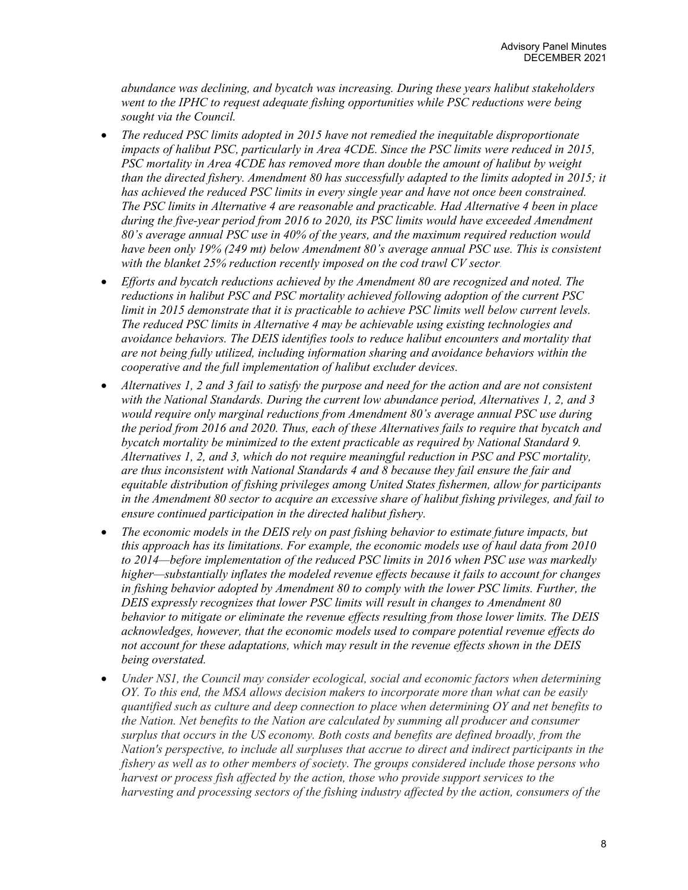*abundance was declining, and bycatch was increasing. During these years halibut stakeholders went to the IPHC to request adequate fishing opportunities while PSC reductions were being sought via the Council.*

- *The reduced PSC limits adopted in 2015 have not remedied the inequitable disproportionate impacts of halibut PSC, particularly in Area 4CDE. Since the PSC limits were reduced in 2015, PSC mortality in Area 4CDE has removed more than double the amount of halibut by weight than the directed fishery. Amendment 80 has successfully adapted to the limits adopted in 2015; it has achieved the reduced PSC limits in every single year and have not once been constrained. The PSC limits in Alternative 4 are reasonable and practicable. Had Alternative 4 been in place during the five-year period from 2016 to 2020, its PSC limits would have exceeded Amendment 80's average annual PSC use in 40% of the years, and the maximum required reduction would have been only 19% (249 mt) below Amendment 80's average annual PSC use. This is consistent with the blanket 25% reduction recently imposed on the cod trawl CV sector.*
- *Efforts and bycatch reductions achieved by the Amendment 80 are recognized and noted. The reductions in halibut PSC and PSC mortality achieved following adoption of the current PSC limit in 2015 demonstrate that it is practicable to achieve PSC limits well below current levels. The reduced PSC limits in Alternative 4 may be achievable using existing technologies and avoidance behaviors. The DEIS identifies tools to reduce halibut encounters and mortality that are not being fully utilized, including information sharing and avoidance behaviors within the cooperative and the full implementation of halibut excluder devices.*
- *Alternatives 1, 2 and 3 fail to satisfy the purpose and need for the action and are not consistent with the National Standards. During the current low abundance period, Alternatives 1, 2, and 3 would require only marginal reductions from Amendment 80's average annual PSC use during the period from 2016 and 2020. Thus, each of these Alternatives fails to require that bycatch and bycatch mortality be minimized to the extent practicable as required by National Standard 9. Alternatives 1, 2, and 3, which do not require meaningful reduction in PSC and PSC mortality, are thus inconsistent with National Standards 4 and 8 because they fail ensure the fair and equitable distribution of fishing privileges among United States fishermen, allow for participants in the Amendment 80 sector to acquire an excessive share of halibut fishing privileges, and fail to ensure continued participation in the directed halibut fishery.*
- *The economic models in the DEIS rely on past fishing behavior to estimate future impacts, but this approach has its limitations. For example, the economic models use of haul data from 2010 to 2014—before implementation of the reduced PSC limits in 2016 when PSC use was markedly higher—substantially inflates the modeled revenue effects because it fails to account for changes in fishing behavior adopted by Amendment 80 to comply with the lower PSC limits. Further, the DEIS expressly recognizes that lower PSC limits will result in changes to Amendment 80 behavior to mitigate or eliminate the revenue effects resulting from those lower limits. The DEIS acknowledges, however, that the economic models used to compare potential revenue effects do not account for these adaptations, which may result in the revenue effects shown in the DEIS being overstated.*
- *Under NS1, the Council may consider ecological, social and economic factors when determining OY. To this end, the MSA allows decision makers to incorporate more than what can be easily quantified such as culture and deep connection to place when determining OY and net benefits to the Nation. Net benefits to the Nation are calculated by summing all producer and consumer surplus that occurs in the US economy. Both costs and benefits are defined broadly, from the Nation's perspective, to include all surpluses that accrue to direct and indirect participants in the fishery as well as to other members of society. The groups considered include those persons who harvest or process fish affected by the action, those who provide support services to the harvesting and processing sectors of the fishing industry affected by the action, consumers of the*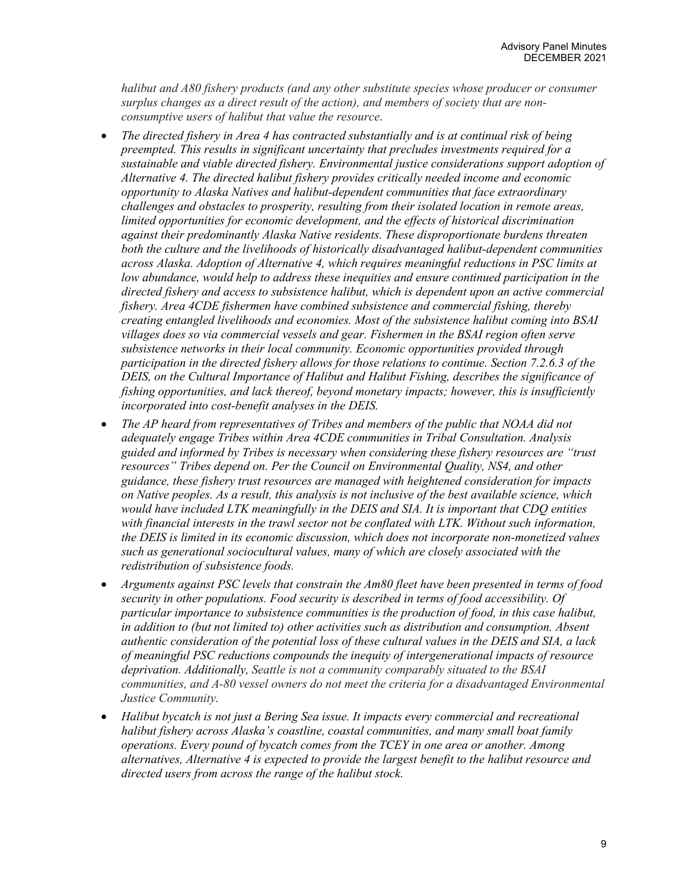*halibut and A80 fishery products (and any other substitute species whose producer or consumer surplus changes as a direct result of the action), and members of society that are nonconsumptive users of halibut that value the resource.*

- *The directed fishery in Area 4 has contracted substantially and is at continual risk of being preempted. This results in significant uncertainty that precludes investments required for a sustainable and viable directed fishery. Environmental justice considerations support adoption of Alternative 4. The directed halibut fishery provides critically needed income and economic opportunity to Alaska Natives and halibut-dependent communities that face extraordinary challenges and obstacles to prosperity, resulting from their isolated location in remote areas, limited opportunities for economic development, and the effects of historical discrimination against their predominantly Alaska Native residents. These disproportionate burdens threaten both the culture and the livelihoods of historically disadvantaged halibut-dependent communities across Alaska. Adoption of Alternative 4, which requires meaningful reductions in PSC limits at low abundance, would help to address these inequities and ensure continued participation in the directed fishery and access to subsistence halibut, which is dependent upon an active commercial fishery. Area 4CDE fishermen have combined subsistence and commercial fishing, thereby creating entangled livelihoods and economies. Most of the subsistence halibut coming into BSAI villages does so via commercial vessels and gear. Fishermen in the BSAI region often serve subsistence networks in their local community. Economic opportunities provided through participation in the directed fishery allows for those relations to continue. Section 7.2.6.3 of the DEIS, on the Cultural Importance of Halibut and Halibut Fishing, describes the significance of fishing opportunities, and lack thereof, beyond monetary impacts; however, this is insufficiently incorporated into cost-benefit analyses in the DEIS.*
- *The AP heard from representatives of Tribes and members of the public that NOAA did not adequately engage Tribes within Area 4CDE communities in Tribal Consultation. Analysis guided and informed by Tribes is necessary when considering these fishery resources are "trust resources" Tribes depend on. Per the Council on Environmental Quality, NS4, and other guidance, these fishery trust resources are managed with heightened consideration for impacts on Native peoples. As a result, this analysis is not inclusive of the best available science, which would have included LTK meaningfully in the DEIS and SIA. It is important that CDQ entities with financial interests in the trawl sector not be conflated with LTK. Without such information, the DEIS is limited in its economic discussion, which does not incorporate non-monetized values such as generational sociocultural values, many of which are closely associated with the redistribution of subsistence foods.*
- *Arguments against PSC levels that constrain the Am80 fleet have been presented in terms of food security in other populations. Food security is described in terms of food accessibility. Of particular importance to subsistence communities is the production of food, in this case halibut, in addition to (but not limited to) other activities such as distribution and consumption. Absent authentic consideration of the potential loss of these cultural values in the DEIS and SIA, a lack of meaningful PSC reductions compounds the inequity of intergenerational impacts of resource deprivation. Additionally, Seattle is not a community comparably situated to the BSAI communities, and A-80 vessel owners do not meet the criteria for a disadvantaged Environmental Justice Community.*
- *Halibut bycatch is not just a Bering Sea issue. It impacts every commercial and recreational halibut fishery across Alaska's coastline, coastal communities, and many small boat family operations. Every pound of bycatch comes from the TCEY in one area or another. Among alternatives, Alternative 4 is expected to provide the largest benefit to the halibut resource and directed users from across the range of the halibut stock.*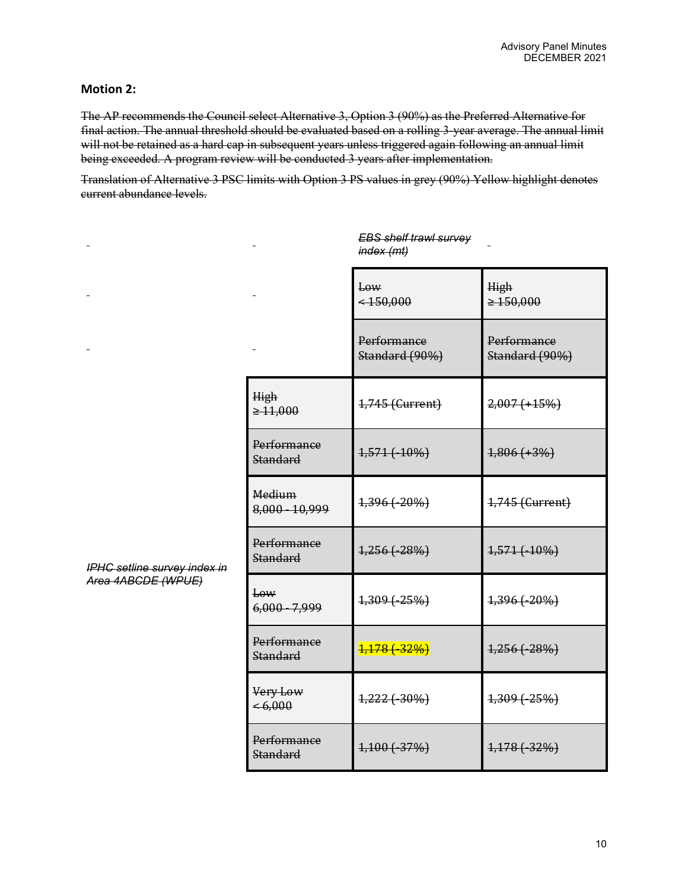# **Motion 2:**

The AP recommends the Council select Alternative 3, Option 3 (90%) as the Preferred Alternative for final action. The annual threshold should be evaluated based on a rolling 3-year average. The annual limit will not be retained as a hard cap in subsequent years unless triggered again following an annual limit being exceeded. A program review will be conducted 3 years after implementation.

Translation of Alternative 3 PSC limits with Option 3 PS values in grey (90%) Yellow highlight denotes current abundance levels.

|                                                    |                                | index (mt)                    |                               |
|----------------------------------------------------|--------------------------------|-------------------------------|-------------------------------|
|                                                    |                                | Low<br>$<$ 450,000            | High<br>$\geq 150,000$        |
|                                                    |                                | Performance<br>Standard (90%) | Performance<br>Standard (90%) |
|                                                    | High<br>$\geq 11,000$          | 1,745 (Current)               | $2,007 (+15%)$                |
|                                                    | Performance<br><b>Standard</b> | 1,571 (-10%)                  | $1,806 (+3%)$                 |
|                                                    | Medium<br>8,000 - 10,999       | 1,396 (-20%)                  | 1,745 (Current)               |
| IPHC setline survey index in<br>Area 4ABCDE (WPUE) | Performance<br><b>Standard</b> | $1,256$ ( $-28%$ )            | 1,571 (-10%)                  |
|                                                    | Low<br>$6,000 - 7,999$         | $1,309$ $(-25%)$              | 1,396 (-20%)                  |
|                                                    | Performance<br><b>Standard</b> | $\frac{1,178}{1,129}$         | $1,256$ ( $-28%$ )            |
|                                                    | Very Low<br>$\le 6,000$        | $1,222 (+30\%)$               | $1,309(-25%)$                 |
|                                                    | Performance<br><b>Standard</b> | $1,100$ $(-37%)$              | $1,178$ $(-32%)$              |

*EBS shelf trawl survey*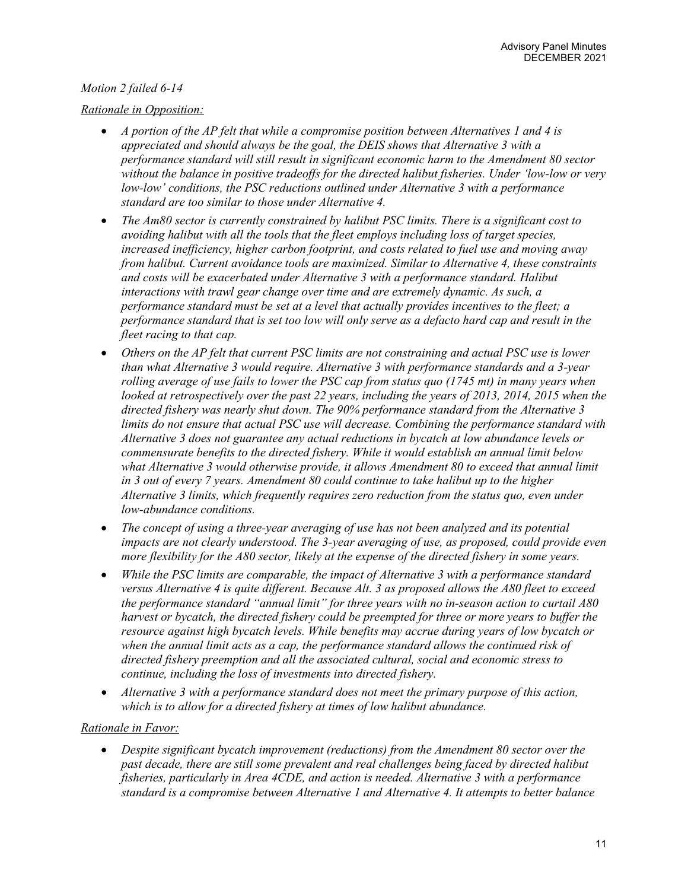# *Motion 2 failed 6-14*

# *Rationale in Opposition:*

- *A portion of the AP felt that while a compromise position between Alternatives 1 and 4 is appreciated and should always be the goal, the DEIS shows that Alternative 3 with a performance standard will still result in significant economic harm to the Amendment 80 sector without the balance in positive tradeoffs for the directed halibut fisheries. Under 'low-low or very low-low' conditions, the PSC reductions outlined under Alternative 3 with a performance standard are too similar to those under Alternative 4.*
- *The Am80 sector is currently constrained by halibut PSC limits. There is a significant cost to avoiding halibut with all the tools that the fleet employs including loss of target species, increased inefficiency, higher carbon footprint, and costs related to fuel use and moving away from halibut. Current avoidance tools are maximized. Similar to Alternative 4, these constraints and costs will be exacerbated under Alternative 3 with a performance standard. Halibut interactions with trawl gear change over time and are extremely dynamic. As such, a performance standard must be set at a level that actually provides incentives to the fleet; a performance standard that is set too low will only serve as a defacto hard cap and result in the fleet racing to that cap.*
- *Others on the AP felt that current PSC limits are not constraining and actual PSC use is lower than what Alternative 3 would require. Alternative 3 with performance standards and a 3-year rolling average of use fails to lower the PSC cap from status quo (1745 mt) in many years when looked at retrospectively over the past 22 years, including the years of 2013, 2014, 2015 when the directed fishery was nearly shut down. The 90% performance standard from the Alternative 3 limits do not ensure that actual PSC use will decrease. Combining the performance standard with Alternative 3 does not guarantee any actual reductions in bycatch at low abundance levels or commensurate benefits to the directed fishery. While it would establish an annual limit below what Alternative 3 would otherwise provide, it allows Amendment 80 to exceed that annual limit in 3 out of every 7 years. Amendment 80 could continue to take halibut up to the higher Alternative 3 limits, which frequently requires zero reduction from the status quo, even under low-abundance conditions.*
- *The concept of using a three-year averaging of use has not been analyzed and its potential impacts are not clearly understood. The 3-year averaging of use, as proposed, could provide even more flexibility for the A80 sector, likely at the expense of the directed fishery in some years.*
- *While the PSC limits are comparable, the impact of Alternative 3 with a performance standard versus Alternative 4 is quite different. Because Alt. 3 as proposed allows the A80 fleet to exceed the performance standard "annual limit" for three years with no in-season action to curtail A80 harvest or bycatch, the directed fishery could be preempted for three or more years to buffer the resource against high bycatch levels. While benefits may accrue during years of low bycatch or when the annual limit acts as a cap, the performance standard allows the continued risk of directed fishery preemption and all the associated cultural, social and economic stress to continue, including the loss of investments into directed fishery.*
- *Alternative 3 with a performance standard does not meet the primary purpose of this action, which is to allow for a directed fishery at times of low halibut abundance.*

# *Rationale in Favor:*

• *Despite significant bycatch improvement (reductions) from the Amendment 80 sector over the past decade, there are still some prevalent and real challenges being faced by directed halibut fisheries, particularly in Area 4CDE, and action is needed. Alternative 3 with a performance standard is a compromise between Alternative 1 and Alternative 4. It attempts to better balance*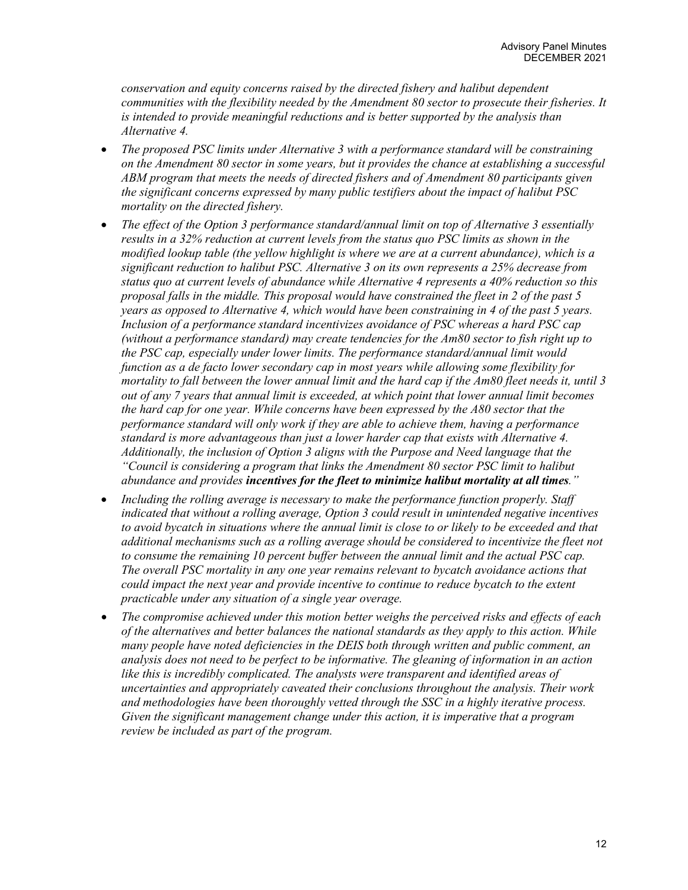*conservation and equity concerns raised by the directed fishery and halibut dependent communities with the flexibility needed by the Amendment 80 sector to prosecute their fisheries. It is intended to provide meaningful reductions and is better supported by the analysis than Alternative 4.*

- *The proposed PSC limits under Alternative 3 with a performance standard will be constraining on the Amendment 80 sector in some years, but it provides the chance at establishing a successful ABM program that meets the needs of directed fishers and of Amendment 80 participants given the significant concerns expressed by many public testifiers about the impact of halibut PSC mortality on the directed fishery.*
- *The effect of the Option 3 performance standard/annual limit on top of Alternative 3 essentially results in a 32% reduction at current levels from the status quo PSC limits as shown in the modified lookup table (the yellow highlight is where we are at a current abundance), which is a significant reduction to halibut PSC. Alternative 3 on its own represents a 25% decrease from status quo at current levels of abundance while Alternative 4 represents a 40% reduction so this proposal falls in the middle. This proposal would have constrained the fleet in 2 of the past 5 years as opposed to Alternative 4, which would have been constraining in 4 of the past 5 years. Inclusion of a performance standard incentivizes avoidance of PSC whereas a hard PSC cap (without a performance standard) may create tendencies for the Am80 sector to fish right up to the PSC cap, especially under lower limits. The performance standard/annual limit would function as a de facto lower secondary cap in most years while allowing some flexibility for mortality to fall between the lower annual limit and the hard cap if the Am80 fleet needs it, until 3 out of any 7 years that annual limit is exceeded, at which point that lower annual limit becomes the hard cap for one year. While concerns have been expressed by the A80 sector that the performance standard will only work if they are able to achieve them, having a performance standard is more advantageous than just a lower harder cap that exists with Alternative 4. Additionally, the inclusion of Option 3 aligns with the Purpose and Need language that the "Council is considering a program that links the Amendment 80 sector PSC limit to halibut abundance and provides incentives for the fleet to minimize halibut mortality at all times."*
- *Including the rolling average is necessary to make the performance function properly. Staff indicated that without a rolling average, Option 3 could result in unintended negative incentives to avoid bycatch in situations where the annual limit is close to or likely to be exceeded and that additional mechanisms such as a rolling average should be considered to incentivize the fleet not*  to consume the remaining 10 percent buffer between the annual limit and the actual PSC cap. *The overall PSC mortality in any one year remains relevant to bycatch avoidance actions that could impact the next year and provide incentive to continue to reduce bycatch to the extent practicable under any situation of a single year overage.*
- *The compromise achieved under this motion better weighs the perceived risks and effects of each of the alternatives and better balances the national standards as they apply to this action. While many people have noted deficiencies in the DEIS both through written and public comment, an analysis does not need to be perfect to be informative. The gleaning of information in an action like this is incredibly complicated. The analysts were transparent and identified areas of uncertainties and appropriately caveated their conclusions throughout the analysis. Their work and methodologies have been thoroughly vetted through the SSC in a highly iterative process. Given the significant management change under this action, it is imperative that a program review be included as part of the program.*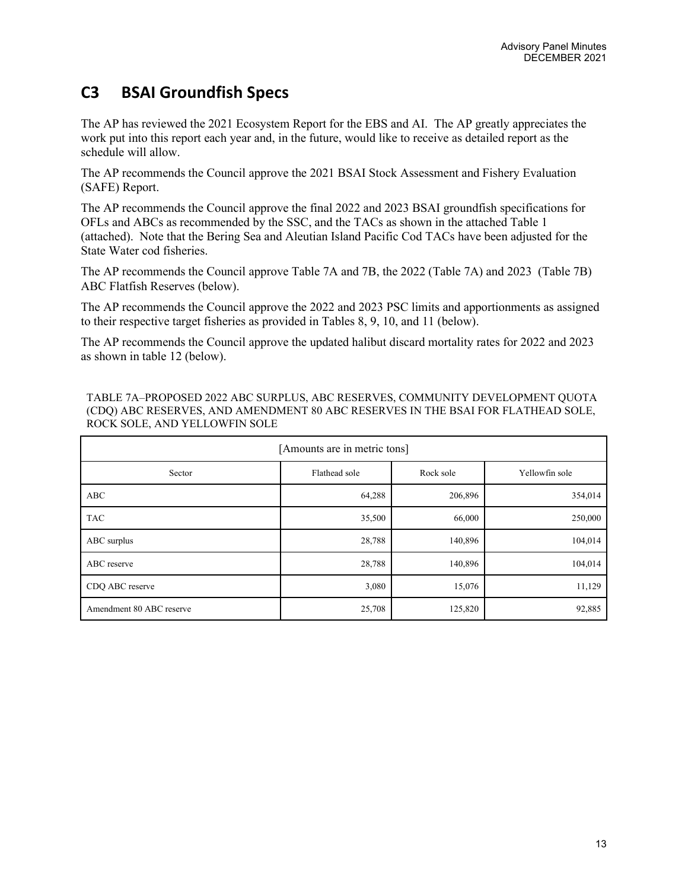# **C3 BSAI Groundfish Specs**

The AP has reviewed the 2021 Ecosystem Report for the EBS and AI. The AP greatly appreciates the work put into this report each year and, in the future, would like to receive as detailed report as the schedule will allow.

The AP recommends the Council approve the 2021 BSAI Stock Assessment and Fishery Evaluation (SAFE) Report.

The AP recommends the Council approve the final 2022 and 2023 BSAI groundfish specifications for OFLs and ABCs as recommended by the SSC, and the TACs as shown in the attached Table 1 (attached). Note that the Bering Sea and Aleutian Island Pacific Cod TACs have been adjusted for the State Water cod fisheries.

The AP recommends the Council approve Table 7A and 7B, the 2022 (Table 7A) and 2023 (Table 7B) ABC Flatfish Reserves (below).

The AP recommends the Council approve the 2022 and 2023 PSC limits and apportionments as assigned to their respective target fisheries as provided in Tables 8, 9, 10, and 11 (below).

The AP recommends the Council approve the updated halibut discard mortality rates for 2022 and 2023 as shown in table 12 (below).

TABLE 7A–PROPOSED 2022 ABC SURPLUS, ABC RESERVES, COMMUNITY DEVELOPMENT QUOTA (CDQ) ABC RESERVES, AND AMENDMENT 80 ABC RESERVES IN THE BSAI FOR FLATHEAD SOLE, ROCK SOLE, AND YELLOWFIN SOLE

| [Amounts are in metric tons]                           |        |         |         |  |  |
|--------------------------------------------------------|--------|---------|---------|--|--|
| Rock sole<br>Flathead sole<br>Yellowfin sole<br>Sector |        |         |         |  |  |
| ABC                                                    | 64,288 | 206,896 | 354,014 |  |  |
| <b>TAC</b>                                             | 35,500 | 66,000  | 250,000 |  |  |
| ABC surplus                                            | 28,788 | 140,896 | 104,014 |  |  |
| ABC reserve                                            | 28,788 | 140,896 | 104,014 |  |  |
| CDQ ABC reserve                                        | 3,080  | 15,076  | 11,129  |  |  |
| Amendment 80 ABC reserve                               | 25,708 | 125,820 | 92,885  |  |  |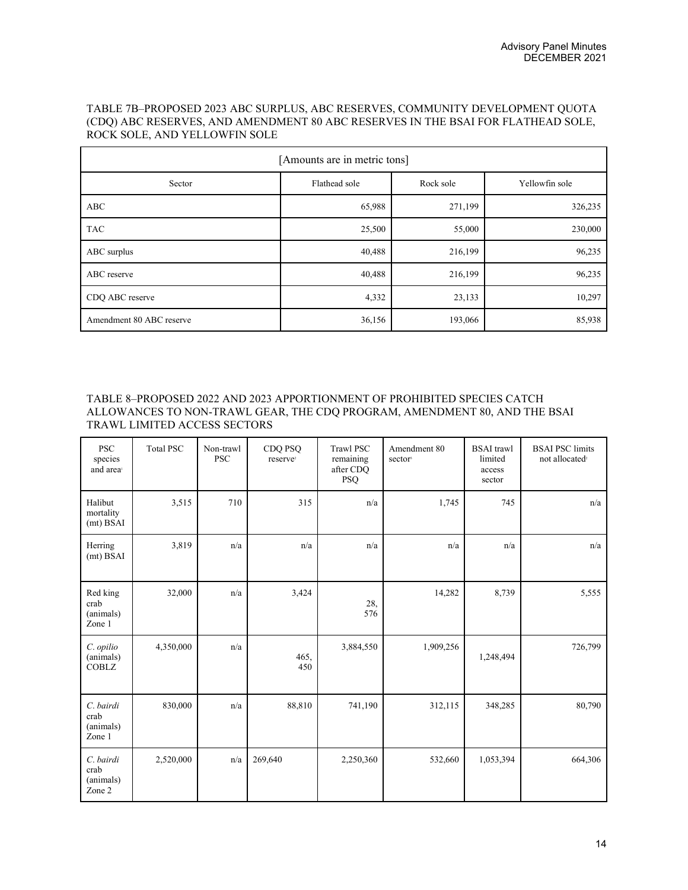#### TABLE 7B–PROPOSED 2023 ABC SURPLUS, ABC RESERVES, COMMUNITY DEVELOPMENT QUOTA (CDQ) ABC RESERVES, AND AMENDMENT 80 ABC RESERVES IN THE BSAI FOR FLATHEAD SOLE, ROCK SOLE, AND YELLOWFIN SOLE

| [Amounts are in metric tons]                           |        |         |         |  |  |
|--------------------------------------------------------|--------|---------|---------|--|--|
| Flathead sole<br>Rock sole<br>Yellowfin sole<br>Sector |        |         |         |  |  |
| ABC                                                    | 65,988 | 271,199 | 326,235 |  |  |
| <b>TAC</b>                                             | 25,500 | 55,000  | 230,000 |  |  |
| ABC surplus                                            | 40,488 | 216,199 | 96,235  |  |  |
| ABC reserve                                            | 40,488 | 216,199 | 96,235  |  |  |
| CDQ ABC reserve                                        | 4,332  | 23,133  | 10,297  |  |  |
| Amendment 80 ABC reserve                               | 36,156 | 193,066 | 85,938  |  |  |

### TABLE 8–PROPOSED 2022 AND 2023 APPORTIONMENT OF PROHIBITED SPECIES CATCH ALLOWANCES TO NON-TRAWL GEAR, THE CDQ PROGRAM, AMENDMENT 80, AND THE BSAI TRAWL LIMITED ACCESS SECTORS

| <b>PSC</b><br>species<br>and area        | <b>Total PSC</b> | Non-trawl<br><b>PSC</b> | CDQ PSQ<br>reserve <sup>2</sup> | <b>Trawl PSC</b><br>remaining<br>after CDQ<br><b>PSQ</b> | Amendment 80<br>sector | <b>BSAI</b> trawl<br>limited<br>access<br>sector | <b>BSAI PSC limits</b><br>not allocated <sup>2</sup> |
|------------------------------------------|------------------|-------------------------|---------------------------------|----------------------------------------------------------|------------------------|--------------------------------------------------|------------------------------------------------------|
| Halibut<br>mortality<br>(mt) BSAI        | 3,515            | 710                     | 315                             | n/a                                                      | 1,745                  | 745                                              | n/a                                                  |
| Herring<br>(mt) BSAI                     | 3,819            | n/a                     | n/a                             | n/a                                                      | n/a                    | n/a                                              | n/a                                                  |
| Red king<br>crab<br>(animals)<br>Zone 1  | 32,000           | n/a                     | 3,424                           | 28,<br>576                                               | 14,282                 | 8,739                                            | 5,555                                                |
| C. opilio<br>(animals)<br><b>COBLZ</b>   | 4,350,000        | n/a                     | 465.<br>450                     | 3,884,550                                                | 1,909,256              | 1,248,494                                        | 726,799                                              |
| C. bairdi<br>crab<br>(animals)<br>Zone 1 | 830,000          | n/a                     | 88,810                          | 741,190                                                  | 312,115                | 348,285                                          | 80,790                                               |
| C. bairdi<br>crab<br>(animals)<br>Zone 2 | 2,520,000        | n/a                     | 269,640                         | 2,250,360                                                | 532,660                | 1,053,394                                        | 664,306                                              |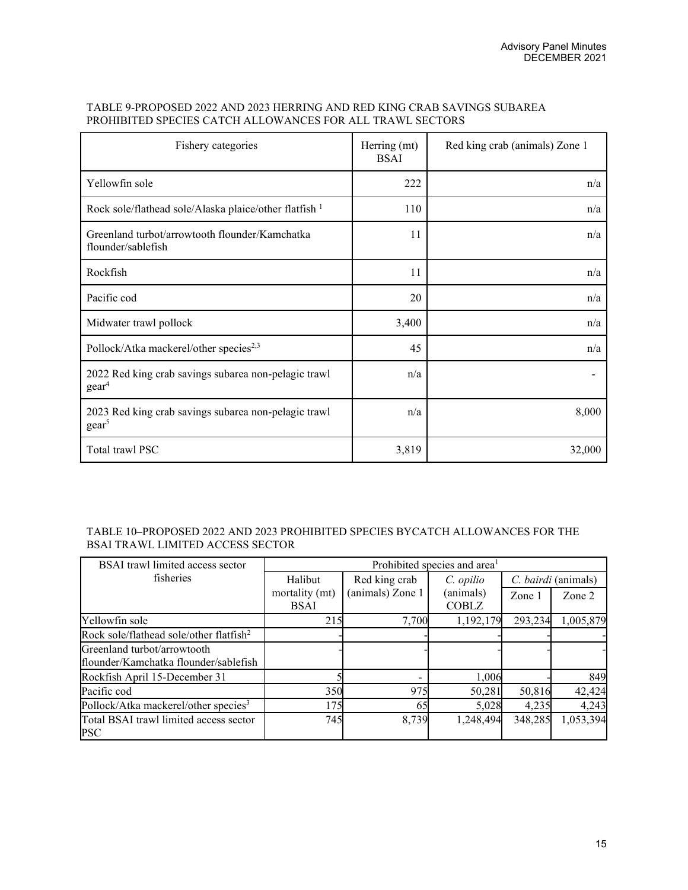#### TABLE 9-PROPOSED 2022 AND 2023 HERRING AND RED KING CRAB SAVINGS SUBAREA PROHIBITED SPECIES CATCH ALLOWANCES FOR ALL TRAWL SECTORS

| Fishery categories                                                        | Herring (mt)<br><b>BSAI</b> | Red king crab (animals) Zone 1 |
|---------------------------------------------------------------------------|-----------------------------|--------------------------------|
| Yellowfin sole                                                            | 222                         | n/a                            |
| Rock sole/flathead sole/Alaska plaice/other flatfish <sup>1</sup>         | 110                         | n/a                            |
| Greenland turbot/arrowtooth flounder/Kamchatka<br>flounder/sablefish      | 11                          | n/a                            |
| Rockfish                                                                  | 11                          | n/a                            |
| Pacific cod                                                               | 20                          | n/a                            |
| Midwater trawl pollock                                                    | 3,400                       | n/a                            |
| Pollock/Atka mackerel/other species <sup>2,3</sup>                        | 45                          | n/a                            |
| 2022 Red king crab savings subarea non-pelagic trawl<br>$\text{gear}^4$   | n/a                         |                                |
| 2023 Red king crab savings subarea non-pelagic trawl<br>gear <sup>5</sup> | n/a                         | 8,000                          |
| Total trawl PSC                                                           | 3,819                       | 32,000                         |

### TABLE 10–PROPOSED 2022 AND 2023 PROHIBITED SPECIES BYCATCH ALLOWANCES FOR THE BSAI TRAWL LIMITED ACCESS SECTOR

| BSAI trawl limited access sector                     | Prohibited species and area <sup>1</sup> |                          |                           |         |                     |
|------------------------------------------------------|------------------------------------------|--------------------------|---------------------------|---------|---------------------|
| fisheries                                            | Halibut                                  | Red king crab            | C. opilio                 |         | C. bairdi (animals) |
|                                                      | mortality (mt)<br><b>BSAI</b>            | (animals) Zone 1         | (animals)<br><b>COBLZ</b> | Zone 1  | Zone 2              |
| Yellowfin sole                                       | 215                                      | 7,700                    | 1,192,179                 | 293,234 | 1,005,879           |
| Rock sole/flathead sole/other flatfish <sup>2</sup>  |                                          |                          |                           |         |                     |
| Greenland turbot/arrowtooth                          |                                          |                          |                           |         |                     |
| flounder/Kamchatka flounder/sablefish                |                                          |                          |                           |         |                     |
| Rockfish April 15-December 31                        |                                          | $\overline{\phantom{a}}$ | 1,006                     |         | 849                 |
| Pacific cod                                          | 350                                      | 975                      | 50,281                    | 50,816  | 42,424              |
| Pollock/Atka mackerel/other species <sup>3</sup>     | 175                                      | 65                       | 5,028                     | 4,235   | 4,243               |
| Total BSAI trawl limited access sector<br><b>PSC</b> | 745                                      | 8,739                    | 1,248,494                 | 348,285 | 1,053,394           |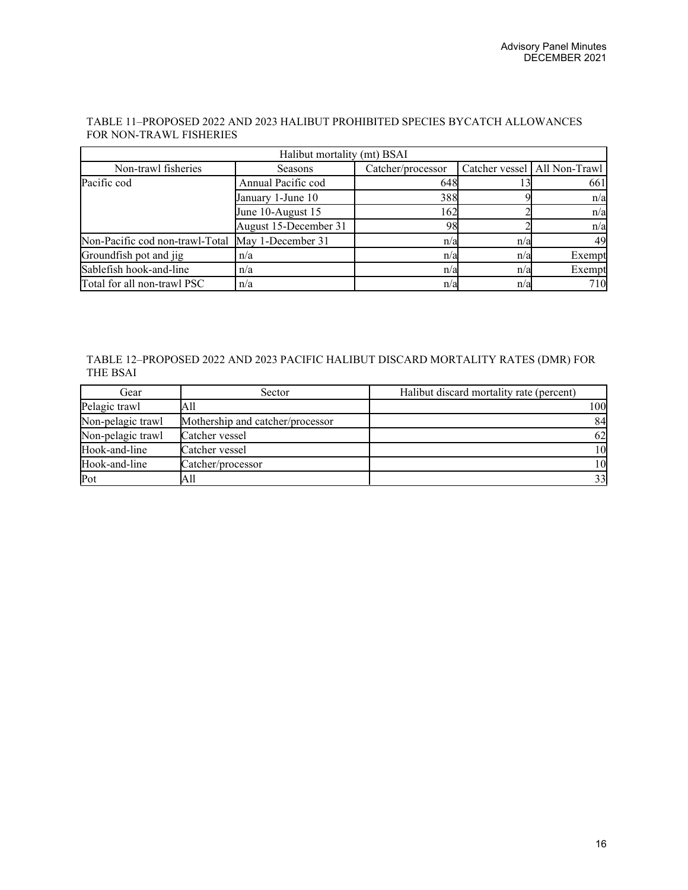| TABLE 11–PROPOSED 2022 AND 2023 HALIBUT PROHIBITED SPECIES BYCATCH ALLOWANCES |  |
|-------------------------------------------------------------------------------|--|
| FOR NON-TRAWL FISHERIES                                                       |  |

| Halibut mortality (mt) BSAI                       |                       |                   |     |                                |  |
|---------------------------------------------------|-----------------------|-------------------|-----|--------------------------------|--|
| Non-trawl fisheries                               | <b>Seasons</b>        | Catcher/processor |     | Catcher vessel   All Non-Trawl |  |
| Pacific cod                                       | Annual Pacific cod    | 648               |     | 661                            |  |
|                                                   | January 1-June 10     | 388               |     | n/a                            |  |
|                                                   | June 10-August 15     | 162               |     | n/a                            |  |
|                                                   | August 15-December 31 | 98                |     | n/a                            |  |
| Non-Pacific cod non-trawl-Total May 1-December 31 |                       | n/a               | n/a | 49                             |  |
| Groundfish pot and jig                            | n/a                   | n/a               | n/a | Exempt                         |  |
| Sablefish hook-and-line                           | n/a                   | n/a               | n/a | Exempt                         |  |
| Total for all non-trawl PSC                       | n/a                   | n/a               | n/a | 710                            |  |

### TABLE 12–PROPOSED 2022 AND 2023 PACIFIC HALIBUT DISCARD MORTALITY RATES (DMR) FOR THE BSAI

| Gear              | Sector                           | Halibut discard mortality rate (percent) |
|-------------------|----------------------------------|------------------------------------------|
| Pelagic trawl     | All                              | 100                                      |
| Non-pelagic trawl | Mothership and catcher/processor | 84                                       |
| Non-pelagic trawl | Catcher vessel                   | 62                                       |
| Hook-and-line     | Catcher vessel                   | 10                                       |
| Hook-and-line     | Catcher/processor                | 10                                       |
| Pot               | All                              | 33                                       |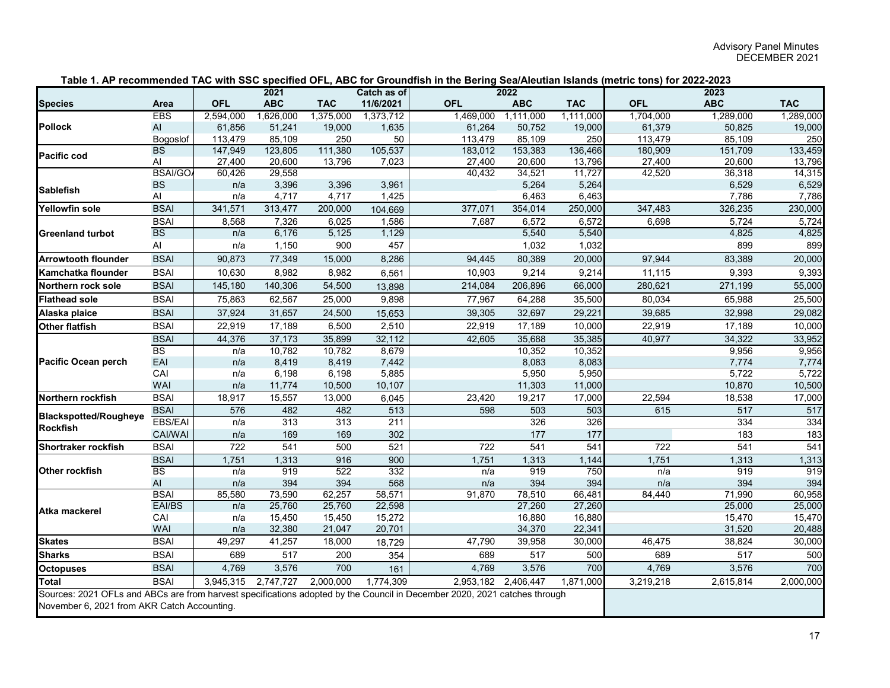|                                                                                                                                                                          |                |                  | 2021       |            | Catch as of      |            | 2022                |            |            | 2023       |            |
|--------------------------------------------------------------------------------------------------------------------------------------------------------------------------|----------------|------------------|------------|------------|------------------|------------|---------------------|------------|------------|------------|------------|
| <b>Species</b>                                                                                                                                                           | Area           | <b>OFL</b>       | <b>ABC</b> | <b>TAC</b> | 11/6/2021        | <b>OFL</b> | <b>ABC</b>          | <b>TAC</b> | <b>OFL</b> | <b>ABC</b> | <b>TAC</b> |
|                                                                                                                                                                          | <b>EBS</b>     | 2,594,000        | 1,626,000  | 1,375,000  | 1,373,712        | 1,469,000  | 1,111,000           | 1,111,000  | 1,704,000  | 1,289,000  | 1,289,000  |
| <b>Pollock</b>                                                                                                                                                           | AI             | 61,856           | 51,241     | 19,000     | 1,635            | 61,264     | 50,752              | 19,000     | 61,379     | 50,825     | 19,000     |
|                                                                                                                                                                          | Bogoslof       | 113,479          | 85,109     | 250        | 50               | 113,479    | 85,109              | 250        | 113,479    | 85,109     | 250        |
| <b>Pacific cod</b>                                                                                                                                                       | <b>BS</b>      | 147,949          | 123,805    | 111,380    | 105,537          | 183,012    | 153,383             | 136,466    | 180,909    | 151,709    | 133,459    |
|                                                                                                                                                                          | Al             | 27,400           | 20,600     | 13,796     | 7,023            | 27,400     | 20,600              | 13,796     | 27,400     | 20,600     | 13,796     |
|                                                                                                                                                                          | <b>BSAI/GO</b> | 60,426           | 29,558     |            |                  | 40,432     | 34,521              | 11,727     | 42,520     | 36,318     | 14,315     |
| <b>Sablefish</b>                                                                                                                                                         | <b>BS</b>      | n/a              | 3,396      | 3,396      | 3,961            |            | 5,264               | 5,264      |            | 6,529      | 6,529      |
|                                                                                                                                                                          | Al             | n/a              | 4,717      | 4,717      | 1,425            |            | 6,463               | 6,463      |            | 7,786      | 7,786      |
| <b>Yellowfin sole</b>                                                                                                                                                    | <b>BSAI</b>    | 341,571          | 313,477    | 200,000    | 104,669          | 377,071    | 354,014             | 250,000    | 347,483    | 326,235    | 230,000    |
|                                                                                                                                                                          | <b>BSAI</b>    | 8,568            | 7,326      | 6,025      | 1,586            | 7,687      | 6,572               | 6,572      | 6,698      | 5,724      | 5,724      |
| <b>Greenland turbot</b>                                                                                                                                                  | <b>BS</b>      | n/a              | 6,176      | 5,125      | 1,129            |            | 5,540               | 5,540      |            | 4,825      | 4,825      |
|                                                                                                                                                                          | Al             | n/a              | 1,150      | 900        | 457              |            | 1,032               | 1,032      |            | 899        | 899        |
| <b>Arrowtooth flounder</b>                                                                                                                                               | <b>BSAI</b>    | 90,873           | 77,349     | 15,000     | 8,286            | 94,445     | 80,389              | 20,000     | 97,944     | 83,389     | 20,000     |
| Kamchatka flounder                                                                                                                                                       | <b>BSAI</b>    | 10,630           | 8,982      | 8,982      | 6,561            | 10,903     | 9,214               | 9,214      | 11,115     | 9,393      | 9,393      |
| Northern rock sole                                                                                                                                                       | <b>BSAI</b>    | 145,180          | 140,306    | 54,500     | 13,898           | 214,084    | 206,896             | 66,000     | 280,621    | 271,199    | 55,000     |
| <b>Flathead sole</b>                                                                                                                                                     | <b>BSAI</b>    | 75,863           | 62,567     | 25,000     | 9,898            | 77,967     | 64,288              | 35,500     | 80,034     | 65,988     | 25,500     |
| Alaska plaice                                                                                                                                                            | <b>BSAI</b>    | 37,924           | 31,657     | 24,500     | 15,653           | 39,305     | 32,697              | 29,221     | 39,685     | 32,998     | 29,082     |
| <b>Other flatfish</b>                                                                                                                                                    | <b>BSAI</b>    | 22,919           | 17,189     | 6,500      | 2,510            | 22,919     | 17,189              | 10,000     | 22,919     | 17,189     | 10,000     |
| <b>Pacific Ocean perch</b>                                                                                                                                               | <b>BSAI</b>    | 44,376           | 37,173     | 35,899     | 32,112           | 42,605     | 35,688              | 35,385     | 40,977     | 34,322     | 33,952     |
|                                                                                                                                                                          | <b>BS</b>      | n/a              | 10,782     | 10,782     | 8,679            |            | 10,352              | 10,352     |            | 9,956      | 9,956      |
|                                                                                                                                                                          | EAI            | n/a              | 8,419      | 8,419      | 7,442            |            | 8,083               | 8,083      |            | 7,774      | 7,774      |
|                                                                                                                                                                          | CAI            | n/a              | 6,198      | 6,198      | 5,885            |            | 5,950               | 5,950      |            | 5,722      | 5,722      |
|                                                                                                                                                                          | <b>WAI</b>     | n/a              | 11,774     | 10,500     | 10,107           |            | 11,303              | 11,000     |            | 10,870     | 10,500     |
| Northern rockfish                                                                                                                                                        | <b>BSAI</b>    | 18,917           | 15,557     | 13,000     | 6,045            | 23,420     | 19,217              | 17,000     | 22,594     | 18,538     | 17,000     |
| <b>Blackspotted/Rougheye</b>                                                                                                                                             | <b>BSAI</b>    | 576              | 482        | 482        | 513              | 598        | 503                 | 503        | 615        | 517        | 517        |
| <b>Rockfish</b>                                                                                                                                                          | <b>EBS/EAI</b> | n/a              | 313        | 313        | $\overline{211}$ |            | 326                 | 326        |            | 334        | 334        |
|                                                                                                                                                                          | <b>CAI/WAI</b> | n/a              | 169        | 169        | 302              |            | 177                 | 177        |            | 183        | 183        |
| Shortraker rockfish                                                                                                                                                      | <b>BSAI</b>    | $\overline{722}$ | 541        | 500        | 521              | 722        | 541                 | 541        | 722        | 541        | 541        |
|                                                                                                                                                                          | <b>BSAI</b>    | 1,751            | 1,313      | 916        | 900              | 1,751      | 1,313               | 1,144      | 1,751      | 1,313      | 1,313      |
| <b>Other rockfish</b>                                                                                                                                                    | <b>BS</b>      | n/a              | 919        | 522        | 332              | n/a        | 919                 | 750        | n/a        | 919        | 919        |
|                                                                                                                                                                          | AI             | n/a              | 394        | 394        | 568              | n/a        | 394                 | 394        | n/a        | 394        | 394        |
|                                                                                                                                                                          | <b>BSAI</b>    | 85,580           | 73,590     | 62,257     | 58,571           | 91,870     | 78,510              | 66,481     | 84,440     | 71,990     | 60,958     |
| Atka mackerel                                                                                                                                                            | EAI/BS         | n/a              | 25,760     | 25,760     | 22,598           |            | 27,260              | 27,260     |            | 25,000     | 25,000     |
|                                                                                                                                                                          | CAI            | n/a              | 15,450     | 15,450     | 15,272           |            | 16,880              | 16,880     |            | 15,470     | 15,470     |
|                                                                                                                                                                          | WAI            | n/a              | 32,380     | 21,047     | 20,701           |            | 34,370              | 22,341     |            | 31,520     | 20,488     |
| <b>Skates</b>                                                                                                                                                            | <b>BSAI</b>    | 49,297           | 41,257     | 18,000     | 18,729           | 47,790     | 39,958              | 30,000     | 46,475     | 38,824     | 30,000     |
| <b>Sharks</b>                                                                                                                                                            | <b>BSAI</b>    | 689              | 517        | 200        | 354              | 689        | $\overline{517}$    | 500        | 689        | 517        | 500        |
| <b>Octopuses</b>                                                                                                                                                         | <b>BSAI</b>    | 4,769            | 3,576      | 700        | 161              | 4,769      | 3,576               | 700        | 4,769      | 3,576      | 700        |
| <b>Total</b>                                                                                                                                                             | <b>BSAI</b>    | 3,945,315        | 2,747,727  | 2,000,000  | 1,774,309        |            | 2,953,182 2,406,447 | 1,871,000  | 3,219,218  | 2,615,814  | 2,000,000  |
| Sources: 2021 OFLs and ABCs are from harvest specifications adopted by the Council in December 2020, 2021 catches through<br>November 6, 2021 from AKR Catch Accounting. |                |                  |            |            |                  |            |                     |            |            |            |            |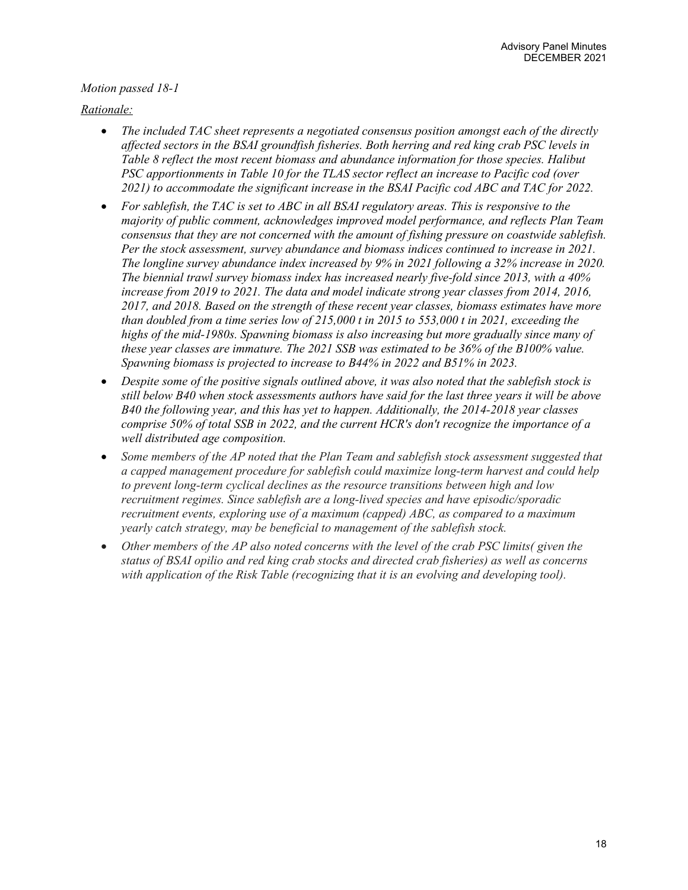### *Motion passed 18-1*

### *Rationale:*

- *The included TAC sheet represents a negotiated consensus position amongst each of the directly affected sectors in the BSAI groundfish fisheries. Both herring and red king crab PSC levels in Table 8 reflect the most recent biomass and abundance information for those species. Halibut PSC apportionments in Table 10 for the TLAS sector reflect an increase to Pacific cod (over 2021) to accommodate the significant increase in the BSAI Pacific cod ABC and TAC for 2022.*
- *For sablefish, the TAC is set to ABC in all BSAI regulatory areas. This is responsive to the majority of public comment, acknowledges improved model performance, and reflects Plan Team consensus that they are not concerned with the amount of fishing pressure on coastwide sablefish. Per the stock assessment, survey abundance and biomass indices continued to increase in 2021. The longline survey abundance index increased by 9% in 2021 following a 32% increase in 2020. The biennial trawl survey biomass index has increased nearly five-fold since 2013, with a 40% increase from 2019 to 2021. The data and model indicate strong year classes from 2014, 2016, 2017, and 2018. Based on the strength of these recent year classes, biomass estimates have more than doubled from a time series low of 215,000 t in 2015 to 553,000 t in 2021, exceeding the highs of the mid-1980s. Spawning biomass is also increasing but more gradually since many of these year classes are immature. The 2021 SSB was estimated to be 36% of the B100% value. Spawning biomass is projected to increase to B44% in 2022 and B51% in 2023.*
- *Despite some of the positive signals outlined above, it was also noted that the sablefish stock is still below B40 when stock assessments authors have said for the last three years it will be above B40 the following year, and this has yet to happen. Additionally, the 2014-2018 year classes comprise 50% of total SSB in 2022, and the current HCR's don't recognize the importance of a well distributed age composition.*
- *Some members of the AP noted that the Plan Team and sablefish stock assessment suggested that a capped management procedure for sablefish could maximize long-term harvest and could help to prevent long-term cyclical declines as the resource transitions between high and low recruitment regimes. Since sablefish are a long-lived species and have episodic/sporadic recruitment events, exploring use of a maximum (capped) ABC, as compared to a maximum yearly catch strategy, may be beneficial to management of the sablefish stock.*
- *Other members of the AP also noted concerns with the level of the crab PSC limits( given the status of BSAI opilio and red king crab stocks and directed crab fisheries) as well as concerns with application of the Risk Table (recognizing that it is an evolving and developing tool).*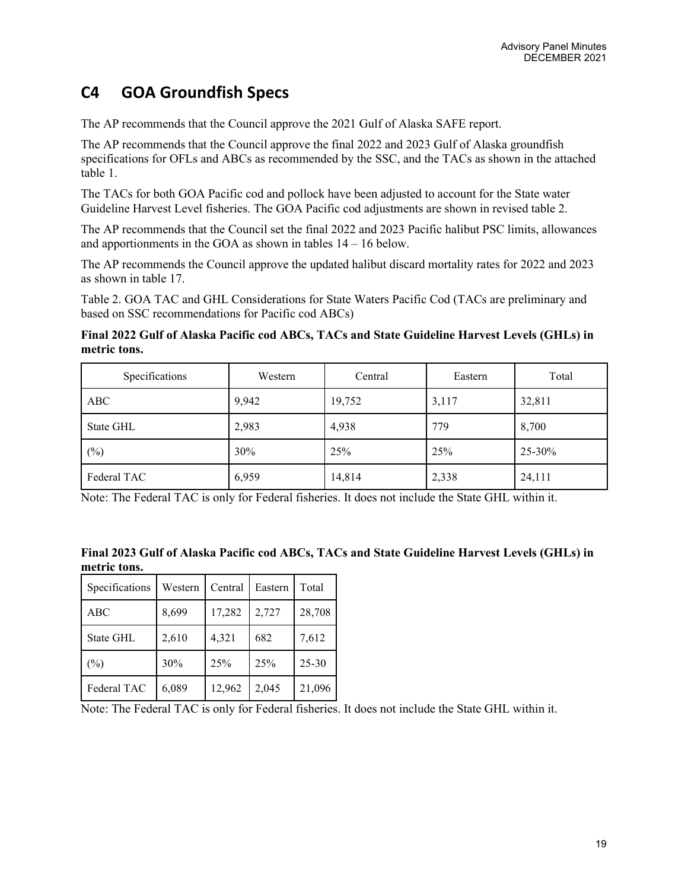# **C4 GOA Groundfish Specs**

The AP recommends that the Council approve the 2021 Gulf of Alaska SAFE report.

The AP recommends that the Council approve the final 2022 and 2023 Gulf of Alaska groundfish specifications for OFLs and ABCs as recommended by the SSC, and the TACs as shown in the attached table 1.

The TACs for both GOA Pacific cod and pollock have been adjusted to account for the State water Guideline Harvest Level fisheries. The GOA Pacific cod adjustments are shown in revised table 2.

The AP recommends that the Council set the final 2022 and 2023 Pacific halibut PSC limits, allowances and apportionments in the GOA as shown in tables  $14 - 16$  below.

The AP recommends the Council approve the updated halibut discard mortality rates for 2022 and 2023 as shown in table 17.

Table 2. GOA TAC and GHL Considerations for State Waters Pacific Cod (TACs are preliminary and based on SSC recommendations for Pacific cod ABCs)

**Final 2022 Gulf of Alaska Pacific cod ABCs, TACs and State Guideline Harvest Levels (GHLs) in metric tons.**

| Specifications | Western | Central | Eastern | Total  |
|----------------|---------|---------|---------|--------|
| ABC            | 9,942   | 19,752  | 3,117   | 32,811 |
| State GHL      | 2,983   | 4,938   | 779     | 8,700  |
| $(\%)$         | 30%     | 25%     | 25%     | 25-30% |
| Federal TAC    | 6,959   | 14,814  | 2,338   | 24,111 |

Note: The Federal TAC is only for Federal fisheries. It does not include the State GHL within it.

| Final 2023 Gulf of Alaska Pacific cod ABCs, TACs and State Guideline Harvest Levels (GHLs) in |  |
|-----------------------------------------------------------------------------------------------|--|
| metric tons.                                                                                  |  |

| Specifications | Western | Central | Eastern | Total     |
|----------------|---------|---------|---------|-----------|
| <b>ABC</b>     | 8,699   | 17,282  | 2,727   | 28,708    |
| State GHL      | 2,610   | 4,321   | 682     | 7,612     |
| $(\%)$         | 30%     | 25%     | 25%     | $25 - 30$ |
| Federal TAC    | 6,089   | 12,962  | 2,045   | 21,096    |

Note: The Federal TAC is only for Federal fisheries. It does not include the State GHL within it.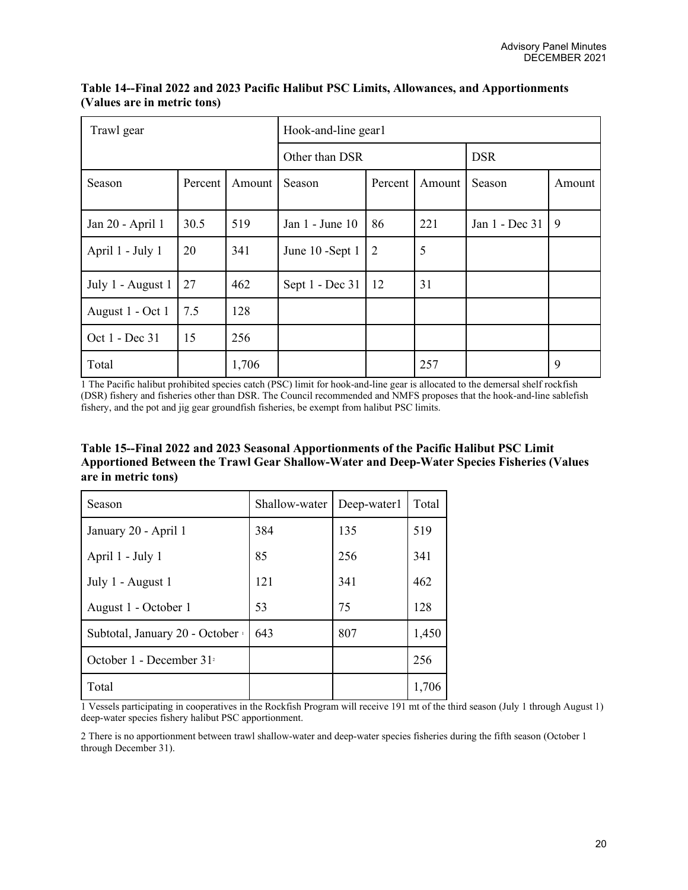| Trawl gear        |         |        | Hook-and-line gear1 |                |        |                |        |  |  |
|-------------------|---------|--------|---------------------|----------------|--------|----------------|--------|--|--|
|                   |         |        | Other than DSR      |                |        | <b>DSR</b>     |        |  |  |
| Season            | Percent | Amount | Season              | Percent        | Amount | Season         | Amount |  |  |
| Jan 20 - April 1  | 30.5    | 519    | Jan 1 - June 10     | 86             | 221    | Jan 1 - Dec 31 | 9      |  |  |
| April 1 - July 1  | 20      | 341    | June 10 -Sept 1     | $\overline{2}$ | 5      |                |        |  |  |
| July 1 - August 1 | 27      | 462    | Sept 1 - Dec 31     | -12            | 31     |                |        |  |  |
| August 1 - Oct 1  | 7.5     | 128    |                     |                |        |                |        |  |  |
| Oct 1 - Dec 31    | 15      | 256    |                     |                |        |                |        |  |  |
| Total             |         | 1,706  |                     |                | 257    |                | 9      |  |  |

**Table 14--Final 2022 and 2023 Pacific Halibut PSC Limits, Allowances, and Apportionments (Values are in metric tons)**

1 The Pacific halibut prohibited species catch (PSC) limit for hook-and-line gear is allocated to the demersal shelf rockfish (DSR) fishery and fisheries other than DSR. The Council recommended and NMFS proposes that the hook-and-line sablefish fishery, and the pot and jig gear groundfish fisheries, be exempt from halibut PSC limits.

| Table 15--Final 2022 and 2023 Seasonal Apportionments of the Pacific Halibut PSC Limit    |
|-------------------------------------------------------------------------------------------|
| Apportioned Between the Trawl Gear Shallow-Water and Deep-Water Species Fisheries (Values |
| are in metric tons)                                                                       |

| Season                         | Shallow-water | Deep-water1 | Total |
|--------------------------------|---------------|-------------|-------|
| January 20 - April 1           | 384           | 135         | 519   |
| April 1 - July 1               | 85            | 256         | 341   |
| July 1 - August 1              | 121           | 341         | 462   |
| August 1 - October 1           | 53            | 75          | 128   |
| Subtotal, January 20 - October | 643           | 807         | 1,450 |
| October 1 - December $312$     |               |             | 256   |
| Total                          |               |             | 1,706 |

1 Vessels participating in cooperatives in the Rockfish Program will receive 191 mt of the third season (July 1 through August 1) deep-water species fishery halibut PSC apportionment.

2 There is no apportionment between trawl shallow-water and deep-water species fisheries during the fifth season (October 1 through December 31).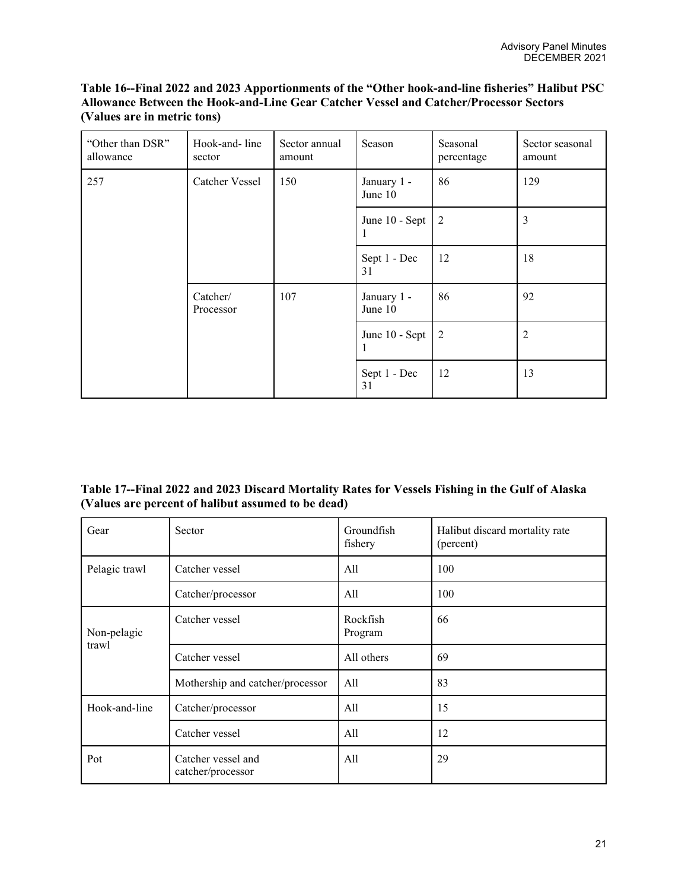### **Table 16--Final 2022 and 2023 Apportionments of the "Other hook-and-line fisheries" Halibut PSC Allowance Between the Hook-and-Line Gear Catcher Vessel and Catcher/Processor Sectors (Values are in metric tons)**

| "Other than DSR"<br>allowance | Hook-and-line<br>sector | Sector annual<br>amount | Season                 | Seasonal<br>percentage | Sector seasonal<br>amount |  |  |
|-------------------------------|-------------------------|-------------------------|------------------------|------------------------|---------------------------|--|--|
| 257                           | Catcher Vessel<br>150   |                         | January 1 -<br>June 10 | 86                     | 129                       |  |  |
|                               |                         |                         | June 10 - Sept<br>1    | 2                      | 3                         |  |  |
|                               |                         |                         | Sept 1 - Dec<br>31     | 12                     | 18                        |  |  |
|                               | Catcher/<br>Processor   | 107                     | January 1 -<br>June 10 | 86                     | 92<br>2                   |  |  |
|                               |                         |                         | June 10 - Sept<br>1    | 2                      |                           |  |  |
|                               |                         |                         | Sept 1 - Dec<br>31     | 12                     | 13                        |  |  |

# **Table 17--Final 2022 and 2023 Discard Mortality Rates for Vessels Fishing in the Gulf of Alaska (Values are percent of halibut assumed to be dead)**

| Gear          | Sector                                  | Groundfish<br>fishery | Halibut discard mortality rate<br>(percent) |
|---------------|-----------------------------------------|-----------------------|---------------------------------------------|
| Pelagic trawl | Catcher vessel                          | All                   | 100                                         |
|               | Catcher/processor                       | All                   | 100                                         |
| Non-pelagic   | Catcher vessel                          | Rockfish<br>Program   | 66                                          |
| trawl         | Catcher vessel                          | All others            | 69                                          |
|               | Mothership and catcher/processor        | All                   | 83                                          |
| Hook-and-line | Catcher/processor                       | All                   | 15                                          |
|               | Catcher vessel                          | All                   | 12                                          |
| Pot           | Catcher vessel and<br>catcher/processor | All                   | 29                                          |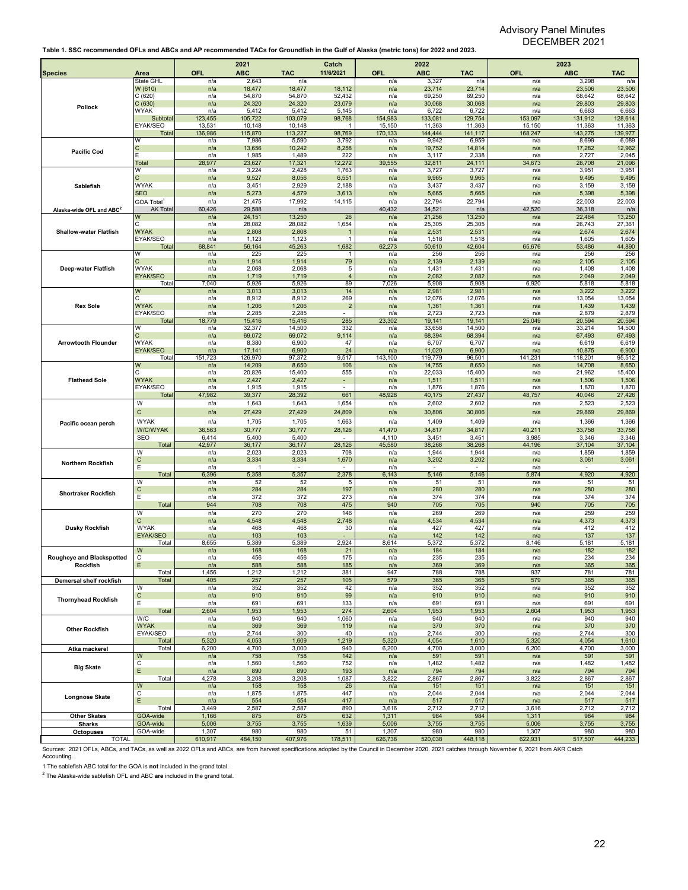| <b>Species</b>                       | Area                           | <b>OFL</b>     | 2021<br><b>ABC</b> | <b>TAC</b>       | Catch<br>11/6/2021   | <b>OFL</b>     | 2022<br><b>ABC</b>       | <b>TAC</b>       | OFL            | 2023<br><b>ABC</b> | <b>TAC</b>       |
|--------------------------------------|--------------------------------|----------------|--------------------|------------------|----------------------|----------------|--------------------------|------------------|----------------|--------------------|------------------|
|                                      | State GHL                      | n/a            | 2,643              | n/a              |                      | n/a            | 3,327                    | n/a              | n/a            | 3,298              | n/a              |
|                                      | W (610)                        | n/a            | 18,477             | 18,477           | 18,112               | n/a            | 23,714                   | 23,714           | n/a            | 23,506             | 23,506           |
|                                      | C(620)                         | n/a            | 54,870             | 54,870           | 52,432               | n/a            | 69,250                   | 69,250           | n/a            | 68,642             | 68,642           |
| Pollock                              | C(630)<br><b>WYAK</b>          | n/a<br>n/a     | 24,320<br>5,412    | 24,320<br>5,412  | 23,079<br>5,145      | n/a<br>n/a     | 30,068<br>6,722          | 30,068<br>6,722  | n/a<br>n/a     | 29,803<br>6,663    | 29,803<br>6,663  |
|                                      | Subtota                        | 123,455        | 105,722            | 103,079          | 98,768               | 154,983        | 133,081                  | 129,754          | 153,097        | 131,912            | 128,614          |
|                                      | <b>EYAK/SEO</b>                | 13,531         | 10,148             | 10,148           |                      | 15,150         | 11,363                   | 11,363           | 15,150         | 11,363             | 11,363           |
|                                      | Total                          | 136,986        | 115,870            | 113,227          | 98,769               | 170,133        | 144,444                  | 141,117          | 168,247        | 143,275            | 139,977          |
|                                      | W                              | n/a<br>n/a     | 7,986<br>13,656    | 5,590<br>10,242  | 3,792<br>8,258       | n/a<br>n/a     | 9,942<br>19,752          | 6,959            | n/a<br>n/a     | 8,699<br>17,282    | 6,089<br>12,962  |
| <b>Pacific Cod</b>                   | C<br>F                         | n/a            | 1,985              | 1,489            | 222                  | n/a            | 3,117                    | 14,814<br>2,338  | n/a            | 2,727              | 2,045            |
|                                      | Total                          | 28,977         | 23,627             | 17,321           | 12,272               | 39,555         | 32,811                   | 24,111           | 34,673         | 28,708             | 21,096           |
|                                      | W                              | n/a            | 3,224              | 2,428            | 1,763                | n/a            | 3,727                    | 3,727            | n/a            | 3,951              | 3,951            |
| Sablefish                            |                                | n/a            | 9,527              | 8,056            | 6,551                | n/a            | 9,965                    | 9,965            | n/a            | 9,495              | 9,495            |
|                                      | <b>WYAK</b>                    | n/a            | 3,451              | 2,929            | 2,188                | n/a            | 3,437                    | 3,437            | n/a            | 3,159              | 3,159            |
|                                      | <b>SEO</b><br><b>GOA Total</b> | n/a<br>n/a     | 5,273<br>21,475    | 4,579<br>17,992  | 3,613<br>14,115      | n/a<br>n/a     | 5,665<br>22,794          | 5,665<br>22,794  | n/a<br>n/a     | 5,398<br>22,003    | 5,398<br>22,003  |
| Alaska-wide OFL and ABC <sup>2</sup> | <b>AK Total</b>                | 60,426         | 29,588             | n/a              |                      | 40,432         | 34,521                   | n/a              | 42,520         | 36,318             | n/a              |
|                                      | W                              | n/a            | 24,151             | 13,250           | 26                   | n/a            | 21,256                   | 13,250           | n/a            | 22,464             | 13,250           |
| <b>Shallow-water Flatfish</b>        |                                | n/a            | 28,082             | 28,082           | 1,654                | n/a            | 25,305                   | 25,305           | n/a            | 26,743             | 27,361           |
|                                      | <b>WYAK</b>                    | n/a            | 2,808              | 2,808            |                      | n/a            | 2,531                    | 2,531            | n/a            | 2,674              | 2,674            |
|                                      | EYAK/SEO<br>Total              | n/a<br>68,841  | 1,123<br>56,164    | 1,123<br>45,263  | $\mathbf 1$<br>1,682 | n/a<br>62,273  | 1,518<br>50,610          | 1,518<br>42,604  | n/a<br>65,676  | 1,605<br>53,486    | 1,605<br>44,890  |
|                                      | W                              | n/a            | 225                | 225              | 1                    | n/a            | 256                      | 256              | n/a            | 256                | 256              |
| Deep-water Flatfish                  | C                              | n/a            | 1,914              | 1,914            | 79                   | n/a            | 2,139                    | 2,139            | n/a            | 2,105              | 2,105            |
|                                      | <b>WYAK</b>                    | n/a            | 2,068              | 2,068            | 5                    | n/a            | 1,431                    | 1,431            | n/a            | 1,408              | 1,408            |
|                                      | <b>EYAK/SEO</b>                | n/a            | 1,719              | 1,719            | $\overline{4}$       | n/a            | 2,082                    | 2,082            | n/a            | 2,049              | 2,049            |
|                                      | Total<br>W                     | 7,040<br>n/a   | 5,926<br>3,013     | 5,926<br>3,013   | 89<br>14             | 7,026<br>n/a   | 5,908<br>2,981           | 5,908<br>2,981   | 6,920          | 5,818<br>3,222     | 5,818<br>3,222   |
|                                      |                                | n/a            | 8,912              | 8,912            | 269                  | n/a            | 12,076                   | 12,076           | n/a<br>n/a     | 13,054             | 13,054           |
| <b>Rex Sole</b>                      | <b>WYAK</b>                    | n/a            | 1,206              | 1,206            | $\sqrt{2}$           | n/a            | 1,361                    | 1,361            | n/a            | 1,439              | 1,439            |
|                                      | EYAK/SEO                       | n/a            | 2,285              | 2,285            |                      | n/a            | 2,723                    | 2,723            | n/a            | 2,879              | 2,879            |
|                                      | Total                          | 18,779         | 15,416             | 15,416           | 285                  | 23,302         | 19,141                   | 19,141           | 25,049         | 20,594             | 20,594           |
|                                      | W                              | n/a<br>n/a     | 32,377<br>69,072   | 14,500<br>69,072 | 332<br>9,114         | n/a<br>n/a     | 33,658<br>68,394         | 14,500<br>68,394 | n/a<br>n/a     | 33,214<br>67,493   | 14,500<br>67,493 |
| <b>Arrowtooth Flounder</b>           | <b>WYAK</b>                    | n/a            | 8,380              | 6,900            | 47                   | n/a            | 6,707                    | 6,707            | n/a            | 6,619              | 6,619            |
|                                      | <b>EYAK/SEO</b>                | n/a            | 17,141             | 6,900            | 24                   | n/a            | 11,020                   | 6,900            | n/a            | 10,875             | 6,900            |
|                                      | Total                          | 151,723        | 126,970            | 97,372           | 9,517                | 143,100        | 119,779                  | 96,501           | 141,231        | 118,201            | 95,512           |
|                                      | W                              | n/a            | 14,209             | 8,650            | 106                  | n/a            | 14,755                   | 8,650            | n/a            | 14,708             | 8,650            |
| <b>Flathead Sole</b>                 | <b>WYAK</b>                    | n/a<br>n/a     | 20,826<br>2,427    | 15,400<br>2,427  | 555<br>$\sim$        | n/a<br>n/a     | 22,033<br>1,511          | 15,400<br>1,511  | n/a<br>n/a     | 21,962<br>1,506    | 15,400<br>1,506  |
|                                      | EYAK/SEO                       | n/a            | 1,915              | 1,915            |                      | n/a            | 1,876                    | 1,876            | n/a            | 1,870              | 1,870            |
|                                      | Total                          | 47.982         | 39,377             | 28,392           | 661                  | 48.928         | 40,175                   | 27,437           | 48,757         | 40,046             | 27,426           |
|                                      | W                              | n/a            | 1,643              | 1,643            | 1,654                | n/a            | 2,602                    | 2,602            | n/a            | 2,523              | 2,523            |
|                                      | C                              | n/a            | 27,429             | 27,429           | 24,809               | n/a            | 30,806                   | 30,806           | n/a            | 29,869             | 29,869           |
| Pacific ocean perch                  | <b>WYAK</b>                    | n/a            | 1,705              | 1,705            | 1,663                | n/a            | 1,409                    | 1,409            | n/a            | 1,366              | 1,366            |
|                                      | <b>W/C/WYAK</b>                | 36,563         | 30,777             | 30,777           | 28,126               | 41,470         | 34,817                   | 34,817           | 40,211         | 33,758             | 33,758           |
|                                      | SEO                            | 6,414          | 5,400              | 5,400            |                      | 4,110          | 3,451                    | 3,451            | 3,985          | 3,346              | 3,346            |
|                                      | Total<br>W                     | 42,977<br>n/a  | 36,177<br>2,023    | 36,177<br>2,023  | 28,126<br>708        | 45,580<br>n/a  | 38,268<br>1,944          | 38,268<br>1,944  | 44,196<br>n/a  | 37,104<br>1,859    | 37,104<br>1,859  |
|                                      | C                              | n/a            | 3,334              | 3,334            | 1,670                | n/a            | 3,202                    | 3,202            | n/a            | 3,061              | 3,061            |
| Northern Rockfish                    | E                              | n/a            | 1                  |                  |                      | n/a            | $\overline{\phantom{a}}$ |                  | n/a            |                    |                  |
|                                      | Total                          | 6,396          | 5,358              | 5,357            | 2,378                | 6,143          | 5,146                    | 5,146            | 5,874          | 4,920              | 4,920            |
|                                      | W                              | n/a            | 52                 | 52               | 5                    | n/a            | 51                       | 51               | n/a            | 51                 | 51               |
| <b>Shortraker Rockfish</b>           | $\mathbf C$<br>E               | n/a<br>n/a     | 284<br>372         | 284<br>372       | 197<br>273           | n/a<br>n/a     | 280<br>374               | 280<br>374       | n/a<br>n/a     | 280<br>374         | 280<br>374       |
|                                      | Total                          | 944            | 708                | 708              | 475                  | 940            | 705                      | 705              | 940            | 705                | 705              |
|                                      | W                              | n/a            | 270                | 270              | 146                  | n/a            | 269                      | 269              | n/a            | 259                | 259              |
|                                      | C                              | n/a            | 4,548              | 4,548            | 2,748                | n/a            | 4,534                    | 4,534            | n/a            | 4,373              | 4,373            |
| <b>Dusky Rockfish</b>                | <b>WYAK</b>                    | n/a            | 468                | 468              | 30                   | n/a            | 427                      | 427              | n/a            | 412                | 412              |
|                                      | EYAK/SEO<br>Total              | n/a<br>8,655   | 103<br>5,389       | 103<br>5,389     | 2,924                | n/a<br>8,614   | 142<br>5,372             | 142<br>5,372     | n/a<br>8,146   | 137<br>5,181       | 137<br>5,181     |
|                                      | W                              | n/a            | 168                | 168              | 21                   | n/a            | 184                      | 184              | n/a            | 182                | 182              |
| Rougheye and Blackspotted            | U                              | n/a            | 456                | 456              | 175                  | n/a            | 235                      | 235              | n/a            | 234                | 234              |
| Rockfish                             | E                              | n/a            | 588                | 588              | 185                  | n/a            | 369                      | 369              | n/a            | 365                | 365              |
|                                      | Total<br>Total                 | 1,456          | 1,212              | 1,212            | 381                  | 947            | 788                      | 788              | 937            | 781                | 781              |
| Demersal shelf rockfish              | W                              | 405<br>n/a     | 257<br>352         | 257<br>352       | 105<br>42            | 579<br>n/a     | 365<br>352               | 365<br>352       | 579<br>n/a     | 365<br>352         | 365<br>352       |
|                                      | $\mathtt{C}$                   | n/a            | 910                | 910              | 99                   | n/a            | 910                      | 910              | n/a            | 910                | 910              |
| <b>Thornyhead Rockfish</b>           | Е                              | n/a            | 691                | 691              | 133                  | n/a            | 691                      | 691              | n/a            | 691                | 691              |
|                                      | Total                          | 2,604          | 1,953              | ,953             | 274                  | 2,604          | 1,953                    | 1,953            | 2,604          | 1,953              | 1,953            |
|                                      | W/C                            | n/a            | 940                | 940              | 1,060                | n/a            | 940                      | 940              | n/a            | 940                | 940              |
| <b>Other Rockfish</b>                | <b>WYAK</b><br>EYAK/SEO        | n/a<br>n/a     | 369<br>2,744       | 369<br>300       | 119<br>40            | n/a<br>n/a     | 370<br>2,744             | 370<br>300       | n/a<br>n/a     | 370<br>2,744       | 370<br>300       |
|                                      | Total                          | 5,320          | 4,053              | 1,609            | 1,219                | 5,320          | 4,054                    | 1,610            | 5,320          | 4,054              | 1,610            |
| Atka mackerel                        | Total                          | 6,200          | 4,700              | 3,000            | 940                  | 6,200          | 4,700                    | 3,000            | 6,200          | 4,700              | 3,000            |
|                                      | W                              | n/a            | 758                | 758              | 142                  | n/a            | 591                      | 591              | n/a            | 591                | 591              |
| <b>Big Skate</b>                     | $\overline{c}$                 | n/a            | 1,560              | 1,560            | 752                  | n/a            | 1,482                    | 1,482            | n/a            | 1,482              | 1,482            |
|                                      | Ε<br>Total                     | n/a<br>4,278   | 890<br>3,208       | 890<br>3,208     | 193<br>1,087         | n/a<br>3,822   | 794<br>2,867             | 794<br>2,867     | n/a<br>3,822   | 794<br>2,867       | 794<br>2,867     |
|                                      | W                              | n/a            | 158                | 158              | 26                   | n/a            | 151                      | 151              | n/a            | 151                | 151              |
|                                      | С                              | n/a            | 1,875              | 1,875            | 447                  | n/a            | 2,044                    | 2,044            | n/a            | 2,044              | 2,044            |
| <b>Longnose Skate</b>                | Ε                              | n/a            | 554                | 554              | 417                  | n/a            | 517                      | 517              | n/a            | 517                | 517              |
|                                      | Total                          | 3,449          | 2,587              | 2,587            | 890                  | 3,616          | 2,712                    | 2,712            | 3,616          | 2,712              | 2,712            |
| <b>Other Skates</b>                  | GOA-wide<br>GOA-wide           | 1,166<br>5,006 | 875<br>3,755       | 875<br>3,755     | 632<br>1,639         | 1,311<br>5,006 | 984<br>3,755             | 984<br>3,755     | 1,311<br>5,006 | 984                | 984<br>3,755     |
| <b>Sharks</b><br><b>Octopuses</b>    | GOA-wide                       | 1,307          | 980                | 980              | 51                   | 1,307          | 980                      | 980              | 1,307          | 3,755<br>980       | 980              |
| <b>TOTAL</b>                         |                                | 610,917        | 484,150            | 407,976          | 178,511              | 626,738        | 520,038                  | 448,118          | 622,931        | 517,507            | 444,233          |

Sources: 2021 OFLs, ABCs, and TACs, as well as 2022 OFLs and ABCs, are from harvest specifications adopted by the Council in December 2020. 2021 catches through November 6, 2021 from AKR Catch Accounting.

1 The sablefish ABC total for the GOA is **not** included in the grand total. 2 The Alaska-wide sablefish OFL and ABC **are** included in the grand total.